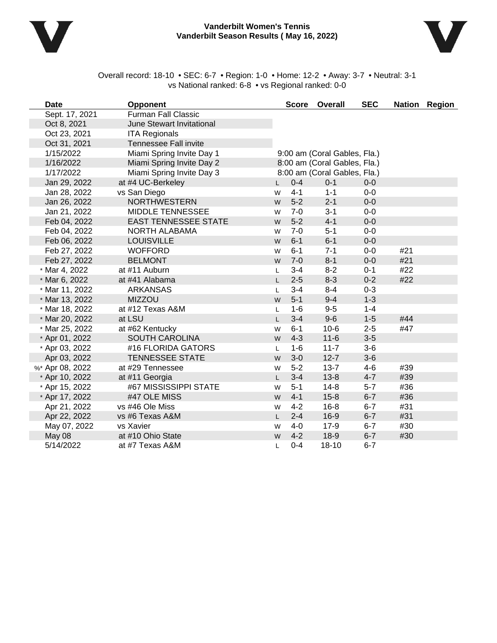

#### **Vanderbilt Women's Tennis Vanderbilt Season Results ( May 16, 2022)**



Overall record: 18-10 • SEC: 6-7 • Region: 1-0 • Home: 12-2 • Away: 3-7 • Neutral: 3-1 vs National ranked: 6-8 • vs Regional ranked: 0-0

| <b>Date</b>     | <b>Opponent</b>                  |    |         | Score Overall                | <b>SEC</b> |     | Nation Region |
|-----------------|----------------------------------|----|---------|------------------------------|------------|-----|---------------|
| Sept. 17, 2021  | <b>Furman Fall Classic</b>       |    |         |                              |            |     |               |
| Oct 8, 2021     | <b>June Stewart Invitational</b> |    |         |                              |            |     |               |
| Oct 23, 2021    | <b>ITA Regionals</b>             |    |         |                              |            |     |               |
| Oct 31, 2021    | <b>Tennessee Fall invite</b>     |    |         |                              |            |     |               |
| 1/15/2022       | Miami Spring Invite Day 1        |    |         | 9:00 am (Coral Gables, Fla.) |            |     |               |
| 1/16/2022       | Miami Spring Invite Day 2        |    |         | 8:00 am (Coral Gables, Fla.) |            |     |               |
| 1/17/2022       | Miami Spring Invite Day 3        |    |         | 8:00 am (Coral Gables, Fla.) |            |     |               |
| Jan 29, 2022    | at #4 UC-Berkeley                |    | $0 - 4$ | $0 - 1$                      | $0-0$      |     |               |
| Jan 28, 2022    | vs San Diego                     | W  | $4 - 1$ | $1 - 1$                      | $0-0$      |     |               |
| Jan 26, 2022    | <b>NORTHWESTERN</b>              | W  | $5-2$   | $2 - 1$                      | $0-0$      |     |               |
| Jan 21, 2022    | MIDDLE TENNESSEE                 | W  | $7-0$   | $3 - 1$                      | $0-0$      |     |               |
| Feb 04, 2022    | <b>EAST TENNESSEE STATE</b>      | W  | $5-2$   | $4 - 1$                      | $0-0$      |     |               |
| Feb 04, 2022    | NORTH ALABAMA                    | W  | $7 - 0$ | $5 - 1$                      | $0-0$      |     |               |
| Feb 06, 2022    | <b>LOUISVILLE</b>                | W  | $6 - 1$ | $6-1$                        | $0-0$      |     |               |
| Feb 27, 2022    | <b>WOFFORD</b>                   | W  | $6 - 1$ | $7 - 1$                      | $0-0$      | #21 |               |
| Feb 27, 2022    | <b>BELMONT</b>                   | W  | $7-0$   | $8 - 1$                      | $0-0$      | #21 |               |
| * Mar 4, 2022   | at #11 Auburn                    | L  | $3 - 4$ | $8 - 2$                      | $0 - 1$    | #22 |               |
| * Mar 6, 2022   | at #41 Alabama                   | L. | $2 - 5$ | $8 - 3$                      | $0 - 2$    | #22 |               |
| * Mar 11, 2022  | <b>ARKANSAS</b>                  | L. | $3 - 4$ | $8 - 4$                      | $0 - 3$    |     |               |
| * Mar 13, 2022  | <b>MIZZOU</b>                    | W  | $5 - 1$ | $9 - 4$                      | $1 - 3$    |     |               |
| * Mar 18, 2022  | at #12 Texas A&M                 | L  | $1 - 6$ | $9-5$                        | $1 - 4$    |     |               |
| * Mar 20, 2022  | at LSU                           | L. | $3 - 4$ | $9-6$                        | $1 - 5$    | #44 |               |
| * Mar 25, 2022  | at #62 Kentucky                  | W  | $6 - 1$ | $10-6$                       | $2 - 5$    | #47 |               |
| * Apr 01, 2022  | <b>SOUTH CAROLINA</b>            | W  | $4 - 3$ | $11 - 6$                     | $3-5$      |     |               |
| * Apr 03, 2022  | #16 FLORIDA GATORS               | L. | $1 - 6$ | $11 - 7$                     | $3-6$      |     |               |
| Apr 03, 2022    | <b>TENNESSEE STATE</b>           | W  | $3-0$   | $12 - 7$                     | $3-6$      |     |               |
| %* Apr 08, 2022 | at #29 Tennessee                 | W  | $5-2$   | $13 - 7$                     | $4 - 6$    | #39 |               |
| * Apr 10, 2022  | at #11 Georgia                   | L  | $3 - 4$ | $13 - 8$                     | $4 - 7$    | #39 |               |
| * Apr 15, 2022  | #67 MISSISSIPPI STATE            | W  | $5 - 1$ | $14 - 8$                     | $5 - 7$    | #36 |               |
| * Apr 17, 2022  | #47 OLE MISS                     | W  | $4 - 1$ | $15 - 8$                     | $6 - 7$    | #36 |               |
| Apr 21, 2022    | vs #46 Ole Miss                  | W  | $4 - 2$ | $16 - 8$                     | $6 - 7$    | #31 |               |
| Apr 22, 2022    | vs #6 Texas A&M                  | L. | $2 - 4$ | $16-9$                       | $6 - 7$    | #31 |               |
| May 07, 2022    | vs Xavier                        | W  | $4-0$   | $17-9$                       | $6 - 7$    | #30 |               |
| May 08          | at #10 Ohio State                | W  | $4 - 2$ | $18-9$                       | $6 - 7$    | #30 |               |
| 5/14/2022       | at #7 Texas A&M                  | L. | $0 - 4$ | $18 - 10$                    | $6 - 7$    |     |               |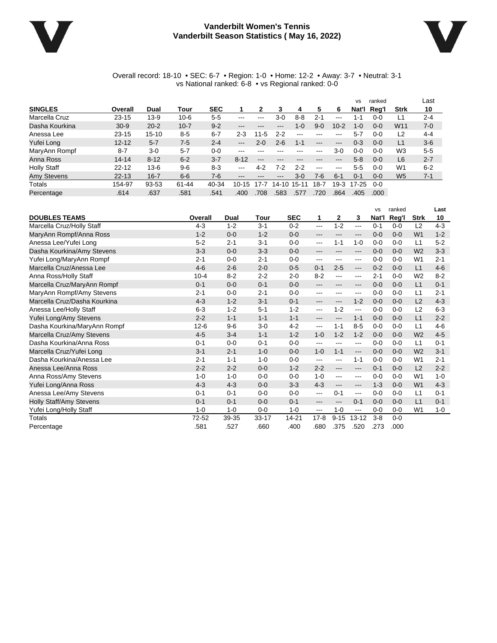#### **Vanderbilt Women's Tennis Vanderbilt Season Statistics ( May 16, 2022)**



#### Overall record: 18-10 • SEC: 6-7 • Region: 1-0 • Home: 12-2 • Away: 3-7 • Neutral: 3-1 vs National ranked: 6-8 • vs Regional ranked: 0-0

|                    |           |           |          |            |                        |                   |                            |             |               |                           | <b>VS</b> | ranked  |                | Last    |
|--------------------|-----------|-----------|----------|------------|------------------------|-------------------|----------------------------|-------------|---------------|---------------------------|-----------|---------|----------------|---------|
| <b>SINGLES</b>     | Overall   | Dual      | Tour     | <b>SEC</b> |                        | 2                 | 3                          | 4           | 5             | 6                         | Nat'l     | Reg'l   | <b>Strk</b>    | 10      |
| Marcella Cruz      | $23 - 15$ | $13-9$    | $10 - 6$ | $5-5$      | $\cdots$               | $- - -$           | $3-0$                      | $8 - 8$     | $2 - 1$       | $-- -$                    | 1-1       | $0 - 0$ | ∟1             | $2 - 4$ |
| Dasha Kourkina     | $30 - 9$  | $20 - 2$  | $10 - 7$ | $9 - 2$    | $\qquad \qquad \cdots$ | $\cdots$          | $\cdots$                   | 1-0         | $9 - 0$       | $10 - 2$                  | $1 - 0$   | $0 - 0$ | W11            | $7 - 0$ |
| Anessa Lee         | $23 - 15$ | $15 - 10$ | $8-5$    | $6 - 7$    | $2 - 3$                | $11 - 5$          | $2 - 2$                    | $- - -$     | $- - -$       | ---                       | $5 - 7$   | $0 - 0$ | L2             | $4 - 4$ |
| Yufei Long         | $12 - 12$ | $5 - 7$   | $7-5$    | $2 - 4$    | $\qquad \qquad \cdots$ | $2 - 0$           | $2 - 6$                    | 1-1         | $---$         | $\qquad \qquad -\qquad -$ | $0 - 3$   | $0 - 0$ | L1             | $3-6$   |
| MaryAnn Rompf      | $8 - 7$   | $3-0$     | $5 - 7$  | $0 - 0$    | $\frac{1}{2}$          |                   |                            |             | $-- -$        | $3-0$                     | 0-0       | $0 - 0$ | W <sub>3</sub> | $5-5$   |
| Anna Ross          | $14 - 14$ | $8 - 12$  | $6 - 2$  | $3 - 7$    | $8 - 12$               | $\qquad \qquad -$ | ---                        |             | ---           | ---                       | $5 - 8$   | $0 - 0$ | L <sub>6</sub> | $2 - 7$ |
| <b>Holly Staff</b> | $22 - 12$ | $13 - 6$  | $9-6$    | $8-3$      | $\frac{1}{2}$          | 4-2               | 7-2                        | $2 - 2$     | $\frac{1}{2}$ | $- - -$                   | $5-5$     | $0 - 0$ | W1             | $6 - 2$ |
| <b>Amy Stevens</b> | $22 - 13$ | $16 - 7$  | $6 - 6$  | $7-6$      | $\cdots$               | $- - -$           | $\qquad \qquad - \qquad -$ | $3-0$       | 7-6           | $6 - 1$                   | $0 - 1$   | $0 - 0$ | W <sub>5</sub> | $7 - 1$ |
| Totals             | 154-97    | 93-53     | 61-44    | 40-34      | $10 - 15$              | $17-7$            | 14-10                      | $15-1$<br>1 | 18-7          | $19-3$                    | $17 - 25$ | $0 - 0$ |                |         |
| Percentage         | .614      | .637      | .581     | .541       | .400                   | .708              | 583                        | .577        | .720          | .864                      | .405      | .000.   |                |         |

|                                |          |         |           |            |          |              |                        | <b>VS</b> | ranked  |                | Last    |
|--------------------------------|----------|---------|-----------|------------|----------|--------------|------------------------|-----------|---------|----------------|---------|
| <b>DOUBLES TEAMS</b>           | Overall  | Dual    | Tour      | <b>SEC</b> | 1        | $\mathbf{2}$ | 3                      | Nat'l     | Reg'l   | <b>Strk</b>    | 10      |
| Marcella Cruz/Holly Staff      | $4 - 3$  | $1 - 2$ | $3 - 1$   | $0 - 2$    | $---$    | $1 - 2$      | $\cdots$               | $0 - 1$   | $0 - 0$ | L2             | $4 - 3$ |
| MaryAnn Rompf/Anna Ross        | $1 - 2$  | $0 - 0$ | $1 - 2$   | $0 - 0$    | ---      | ---          | $\qquad \qquad \cdots$ | $0 - 0$   | $0 - 0$ | W <sub>1</sub> | $1 - 2$ |
| Anessa Lee/Yufei Long          | $5 - 2$  | $2 - 1$ | $3 - 1$   | $0 - 0$    | ---      | $1 - 1$      | $1 - 0$                | $0 - 0$   | $0 - 0$ | L1             | $5-2$   |
| Dasha Kourkina/Amy Stevens     | $3 - 3$  | $0 - 0$ | $3 - 3$   | $0 - 0$    | ---      | ---          | ---                    | $0 - 0$   | $0 - 0$ | W <sub>2</sub> | $3 - 3$ |
| Yufei Long/MaryAnn Rompf       | $2 - 1$  | $0 - 0$ | $2 - 1$   | $0 - 0$    | ---      | ---          | ---                    | $0 - 0$   | $0 - 0$ | W <sub>1</sub> | $2 - 1$ |
| Marcella Cruz/Anessa Lee       | $4-6$    | $2 - 6$ | $2 - 0$   | $0-5$      | $0 - 1$  | $2 - 5$      | $\qquad \qquad - -$    | $0 - 2$   | $0 - 0$ | L1             | $4 - 6$ |
| Anna Ross/Holly Staff          | $10 - 4$ | $8 - 2$ | $2 - 2$   | $2 - 0$    | $8 - 2$  | ---          | ---                    | $2 - 1$   | $0 - 0$ | W <sub>2</sub> | $8 - 2$ |
| Marcella Cruz/MaryAnn Rompf    | $0 - 1$  | $0 - 0$ | $0 - 1$   | $0 - 0$    | ---      | ---          | ---                    | $0 - 0$   | $0 - 0$ | L1             | $0 - 1$ |
| MaryAnn Rompf/Amy Stevens      | $2 - 1$  | $0 - 0$ | $2 - 1$   | $0 - 0$    | ---      | ---          | ---                    | $0 - 0$   | $0 - 0$ | L1             | $2 - 1$ |
| Marcella Cruz/Dasha Kourkina   | $4 - 3$  | $1 - 2$ | $3 - 1$   | $0 - 1$    | ---      | ---          | $1 - 2$                | $0 - 0$   | $0 - 0$ | L <sub>2</sub> | $4 - 3$ |
| Anessa Lee/Holly Staff         | $6 - 3$  | $1 - 2$ | $5 - 1$   | $1 - 2$    | ---      | $1 - 2$      | $\cdots$               | $0 - 0$   | $0 - 0$ | L2             | $6 - 3$ |
| Yufei Long/Amy Stevens         | $2 - 2$  | $1 - 1$ | $1 - 1$   | $1 - 1$    | ---      | $---$        | $1 - 1$                | $0 - 0$   | $0 - 0$ | L1             | $2 - 2$ |
| Dasha Kourkina/MaryAnn Rompf   | $12 - 6$ | $9-6$   | $3 - 0$   | $4 - 2$    | ---      | $1 - 1$      | $8-5$                  | $0-0$     | $0 - 0$ | L1             | $4 - 6$ |
| Marcella Cruz/Amy Stevens      | $4 - 5$  | $3 - 4$ | $1 - 1$   | $1 - 2$    | $1 - 0$  | $1 - 2$      | $1 - 2$                | $0 - 0$   | $0 - 0$ | W <sub>2</sub> | $4-5$   |
| Dasha Kourkina/Anna Ross       | $0 - 1$  | $0 - 0$ | $0 - 1$   | $0 - 0$    | ---      | ---          | ---                    | $0 - 0$   | $0 - 0$ | L1             | $0 - 1$ |
| Marcella Cruz/Yufei Long       | $3 - 1$  | $2 - 1$ | $1 - 0$   | $0 - 0$    | $1 - 0$  | $1 - 1$      | $\qquad \qquad - -$    | $0 - 0$   | $0 - 0$ | W <sub>2</sub> | $3 - 1$ |
| Dasha Kourkina/Anessa Lee      | $2 - 1$  | $1 - 1$ | $1 - 0$   | $0 - 0$    | ---      | ---          | $1 - 1$                | $0 - 0$   | $0 - 0$ | W <sub>1</sub> | $2 - 1$ |
| Anessa Lee/Anna Ross           | $2 - 2$  | $2 - 2$ | $0 - 0$   | $1 - 2$    | $2 - 2$  | ---          | $\qquad \qquad -$      | $0 - 1$   | $0 - 0$ | L <sub>2</sub> | $2 - 2$ |
| Anna Ross/Amy Stevens          | $1 - 0$  | $1 - 0$ | $0 - 0$   | $0 - 0$    | $1 - 0$  | ---          | $\cdots$               | $0 - 0$   | $0 - 0$ | W <sub>1</sub> | $1 - 0$ |
| Yufei Long/Anna Ross           | $4 - 3$  | $4 - 3$ | $0 - 0$   | $3-3$      | $4 - 3$  | ---          | $\qquad \qquad \cdots$ | $1 - 3$   | $0 - 0$ | W <sub>1</sub> | $4 - 3$ |
| Anessa Lee/Amy Stevens         | $0 - 1$  | $0 - 1$ | $0 - 0$   | $0 - 0$    | $---$    | $0 - 1$      | $\cdots$               | $0 - 0$   | $0 - 0$ | L1             | $0 - 1$ |
| <b>Holly Staff/Amy Stevens</b> | $0 - 1$  | $0 - 1$ | $0 - 0$   | $0 - 1$    | ---      | ---          | $0 - 1$                | $0 - 0$   | $0 - 0$ | L1             | $0 - 1$ |
| Yufei Long/Holly Staff         | $1 - 0$  | $1 - 0$ | $0 - 0$   | $1 - 0$    | ---      | $1 - 0$      | $\qquad \qquad -$      | $0 - 0$   | $0 - 0$ | W <sub>1</sub> | $1 - 0$ |
| <b>Totals</b>                  | 72-52    | 39-35   | $33 - 17$ | 14-21      | $17 - 8$ | $9 - 15$     | $13 - 12$              | $3 - 8$   | $0 - 0$ |                |         |
| Percentage                     | .581     | 527     | .660      | .400       | .680     | 375          | .520                   | .273      | .000    |                |         |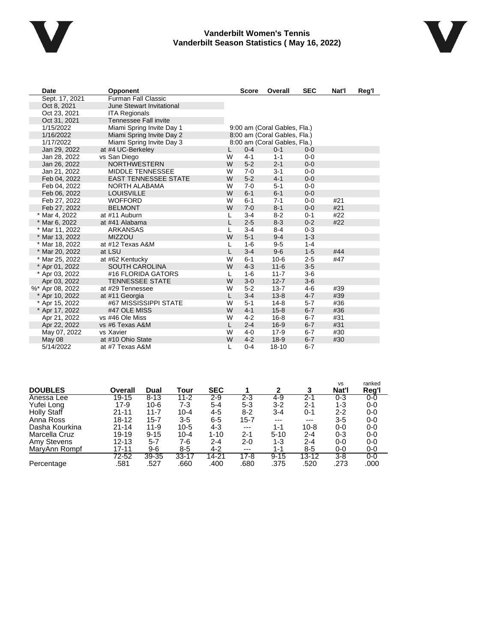

#### **Vanderbilt Women's Tennis Vanderbilt Season Statistics ( May 16, 2022)**



| Date            | Opponent                     |              | <b>Score</b><br><b>SEC</b><br>Overall |                              | Nat'l   | Reg'l |  |
|-----------------|------------------------------|--------------|---------------------------------------|------------------------------|---------|-------|--|
| Sept. 17, 2021  | <b>Furman Fall Classic</b>   |              |                                       |                              |         |       |  |
| Oct 8, 2021     | June Stewart Invitational    |              |                                       |                              |         |       |  |
| Oct 23, 2021    | <b>ITA Regionals</b>         |              |                                       |                              |         |       |  |
| Oct 31, 2021    | <b>Tennessee Fall invite</b> |              |                                       |                              |         |       |  |
| 1/15/2022       | Miami Spring Invite Day 1    |              |                                       | 9:00 am (Coral Gables, Fla.) |         |       |  |
| 1/16/2022       | Miami Spring Invite Day 2    |              |                                       | 8:00 am (Coral Gables, Fla.) |         |       |  |
| 1/17/2022       | Miami Spring Invite Day 3    |              |                                       | 8:00 am (Coral Gables, Fla.) |         |       |  |
| Jan 29, 2022    | at #4 UC-Berkeley            | L.           | $0 - 4$                               | $0 - 1$                      | $0 - 0$ |       |  |
| Jan 28, 2022    | vs San Diego                 | W            | $4 - 1$                               | $1 - 1$                      | $0 - 0$ |       |  |
| Jan 26, 2022    | <b>NORTHWESTERN</b>          | W            | $5-2$                                 | $2 - 1$                      | $0 - 0$ |       |  |
| Jan 21, 2022    | <b>MIDDLE TENNESSEE</b>      | W            | $7 - 0$                               | $3 - 1$                      | $0 - 0$ |       |  |
| Feb 04, 2022    | <b>EAST TENNESSEE STATE</b>  | W            | $5-2$                                 | $4 - 1$                      | $0 - 0$ |       |  |
| Feb 04, 2022    | NORTH ALABAMA                | W            | $7 - 0$                               | $5 - 1$                      | $0 - 0$ |       |  |
| Feb 06, 2022    | <b>LOUISVILLE</b>            | W            | $6 - 1$                               | $6 - 1$                      | $0 - 0$ |       |  |
| Feb 27, 2022    | <b>WOFFORD</b>               | W            | $6 - 1$                               | $7 - 1$                      | $0-0$   | #21   |  |
| Feb 27, 2022    | <b>BELMONT</b>               | W            | $7 - 0$                               | $8 - 1$                      | $0 - 0$ | #21   |  |
| * Mar 4, 2022   | at #11 Auburn                | L            | $3 - 4$                               | $8 - 2$                      | $0 - 1$ | #22   |  |
| * Mar 6, 2022   | at #41 Alabama               | L            | $2 - 5$                               | $8 - 3$                      | $0 - 2$ | #22   |  |
| * Mar 11, 2022  | <b>ARKANSAS</b>              | L            | $3-4$                                 | $8 - 4$                      | $0 - 3$ |       |  |
| * Mar 13, 2022  | <b>MIZZOU</b>                | W            | $5 - 1$                               | $9 - 4$                      | $1 - 3$ |       |  |
| * Mar 18, 2022  | at #12 Texas A&M             | L            | $1 - 6$                               | $9-5$                        | $1 - 4$ |       |  |
| * Mar 20, 2022  | at LSU                       | L            | $3 - 4$                               | $9 - 6$                      | $1 - 5$ | #44   |  |
| * Mar 25, 2022  | at #62 Kentucky              | W            | $6 - 1$                               | $10-6$                       | $2 - 5$ | #47   |  |
| * Apr 01, 2022  | <b>SOUTH CAROLINA</b>        | W            | $4 - 3$                               | $11 - 6$                     | $3-5$   |       |  |
| * Apr 03, 2022  | #16 FLORIDA GATORS           | L            | $1 - 6$                               | $11 - 7$                     | $3-6$   |       |  |
| Apr 03, 2022    | <b>TENNESSEE STATE</b>       | W            | $3-0$                                 | $12 - 7$                     | $3-6$   |       |  |
| %* Apr 08, 2022 | at #29 Tennessee             | W            | $5 - 2$                               | $13 - 7$                     | $4-6$   | #39   |  |
| * Apr 10, 2022  | at #11 Georgia               | L            | $3 - 4$                               | $13 - 8$                     | $4 - 7$ | #39   |  |
| * Apr 15, 2022  | #67 MISSISSIPPI STATE        | W            | $5 - 1$                               | $14 - 8$                     | $5 - 7$ | #36   |  |
| * Apr 17, 2022  | #47 OLE MISS                 | W            | $4 - 1$                               | $15 - 8$                     | $6 - 7$ | #36   |  |
| Apr 21, 2022    | vs #46 Ole Miss              | W            | $4 - 2$                               | $16 - 8$                     | $6 - 7$ | #31   |  |
| Apr 22, 2022    | vs #6 Texas A&M              | $\mathsf{L}$ | $2 - 4$                               | $16-9$                       | $6 - 7$ | #31   |  |
| May 07, 2022    | vs Xavier                    | W            | $4 - 0$                               | $17-9$                       | $6 - 7$ | #30   |  |
| May 08          | at #10 Ohio State            | W            | $4 - 2$                               | $18-9$                       | $6 - 7$ | #30   |  |
| 5/14/2022       | at #7 Texas A&M              | L            | $0 - 4$                               | $18 - 10$                    | $6 - 7$ |       |  |

| <b>DOUBLES</b> | Overall   | Dual      | Tour      | <b>SEC</b> |          | 2        | 3        | <b>VS</b><br>Nat'l | ranked<br>Reg'l |
|----------------|-----------|-----------|-----------|------------|----------|----------|----------|--------------------|-----------------|
| Anessa Lee     | $19 - 15$ | $8 - 13$  | $11 - 2$  | 2-9        | 2-3      | 4-9      | $2 - 1$  | $0 - 3$            | 0-0             |
| Yufei Long     | $17-9$    | $10-6$    | 7-3       | $5 - 4$    | $5 - 3$  | $3 - 2$  | $2 - 1$  | 1-3                | 0-0             |
| Holly Staff    | $21 - 11$ | $11 - 7$  | $10 - 4$  | 4-5        | $8-2$    | $3 - 4$  | 0-1      | $2 - 2$            | 0-0             |
| Anna Ross      | 18-12     | $15 - 7$  | $3 - 5$   | $6 - 5$    | $15 - 7$ | ---      | $---$    | $3 - 5$            | 0-0             |
| Dasha Kourkina | $21 - 14$ | $11 - 9$  | $10-5$    | 4-3        | ---      | $1 - 1$  | $10 - 8$ | 0-0                | 0-0             |
| Marcella Cruz  | 19-19     | $9 - 15$  | $10 - 4$  | $1 - 10$   | $2 - 1$  | $5 - 10$ | $2 - 4$  | $0 - 3$            | 0-0             |
| Amy Stevens    | $12 - 13$ | $5 - 7$   | 7-6       | $2 - 4$    | $2 - 0$  | 1-3      | $2 - 4$  | $0-0$              | 0-0             |
| MaryAnn Rompf  | 17-11     | $9-6$     | 8-5       | $4 - 2$    | ---      | $1 - 1$  | 8-5      | 0-0                | 0-0             |
|                | 72-52     | $39 - 35$ | $33 - 17$ | 14-21      | $17-8$   | $9 - 15$ | 13-12    | $3-8$              | $0-0$           |
| Percentage     | .581      | .527      | .660      | .400       | .680     | .375     | .520     | .273               | .000            |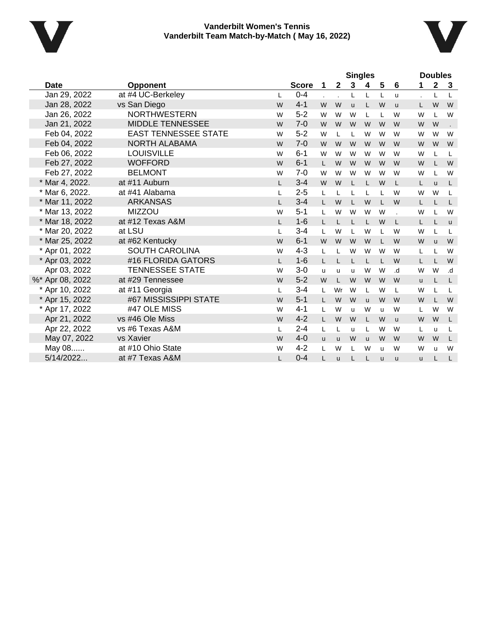



|                 |                             |              | <b>Singles</b> |              |              |              |              |   | <b>Doubles</b> |          |             |              |
|-----------------|-----------------------------|--------------|----------------|--------------|--------------|--------------|--------------|---|----------------|----------|-------------|--------------|
| Date            | <b>Opponent</b>             |              | <b>Score</b>   | 1            | $\mathbf{2}$ | 3            | 4            | 5 | 6              | 1        | $\mathbf 2$ | 3            |
| Jan 29, 2022    | at #4 UC-Berkeley           | L            | $0 - 4$        |              |              | Г            | L            | L | u              |          | L           | L            |
| Jan 28, 2022    | vs San Diego                | W            | $4 - 1$        | W            | W            | u            | L            | W | <b>u</b>       | L.       | W           | W            |
| Jan 26, 2022    | <b>NORTHWESTERN</b>         | W            | $5 - 2$        | W            | W            | W            | L            | L | W              | W        |             | W            |
| Jan 21, 2022    | <b>MIDDLE TENNESSEE</b>     | W            | $7 - 0$        | W            | W            | W            | W            | W | W              | W        | W           |              |
| Feb 04, 2022    | <b>EAST TENNESSEE STATE</b> | W            | $5-2$          | W            | L            | L            | W            | W | W              | W        | W           | W            |
| Feb 04, 2022    | NORTH ALABAMA               | W            | $7 - 0$        | W            | W            | W            | W            | W | W              | W        | W           | W            |
| Feb 06, 2022    | <b>LOUISVILLE</b>           | W            | $6 - 1$        | W            | W            | W            | W            | W | W              | W        |             | L            |
| Feb 27, 2022    | <b>WOFFORD</b>              | W            | $6 - 1$        | L            | W            | W            | W            | W | W              | W        |             | W            |
| Feb 27, 2022    | <b>BELMONT</b>              | W            | $7 - 0$        | W            | W            | W            | W            | W | W              | W        |             | W            |
| * Mar 4, 2022.  | at #11 Auburn               | $\mathsf{L}$ | $3 - 4$        | W            | W            | L            | L.           | W | L              | L        | <b>u</b>    | L            |
| * Mar 6, 2022.  | at #41 Alabama              | L            | $2 - 5$        | L            |              | L            |              | L | W              | W        | W           | L            |
| * Mar 11, 2022  | <b>ARKANSAS</b>             | $\mathbf{L}$ | $3 - 4$        | $\mathbf{L}$ | W            | L            | W            | L | W              | L.       |             | L            |
| * Mar 13, 2022  | <b>MIZZOU</b>               | W            | $5-1$          | L            | W            | W            | W            | W |                | W        |             | W            |
| * Mar 18, 2022  | at #12 Texas A&M            | L            | $1 - 6$        |              |              | L            |              | W | L              | L.       |             | $\mathsf{u}$ |
| * Mar 20, 2022  | at LSU                      | L            | $3 - 4$        | L            | W            | L            | W            | L | W              | W        |             | L            |
| * Mar 25, 2022  | at #62 Kentucky             | W            | $6 - 1$        | W            | W            | W            | W            | L | W              | W        | <b>u</b>    | W            |
| * Apr 01, 2022  | <b>SOUTH CAROLINA</b>       | W            | $4 - 3$        | L            |              | W            | W            | W | W              | Г        |             | W            |
| * Apr 03, 2022  | #16 FLORIDA GATORS          | L            | $1 - 6$        | L            |              | L            | L            | L | W              | L        |             | W            |
| Apr 03, 2022    | <b>TENNESSEE STATE</b>      | W            | $3 - 0$        | u            | u            | u            | W            | W | .d             | W        | W           | .d           |
| %* Apr 08, 2022 | at #29 Tennessee            | W            | $5-2$          | W            | L            | W            | W            | W | W              | u        |             | L            |
| * Apr 10, 2022  | at #11 Georgia              | L            | $3 - 4$        | L            | Wr           | W            | L            | W | L              | W        |             | L            |
| * Apr 15, 2022  | #67 MISSISSIPPI STATE       | W            | $5 - 1$        |              | W            | W            | $\mathsf{u}$ | W | W              | W        |             | W            |
| * Apr 17, 2022  | #47 OLE MISS                | W            | $4 - 1$        | L            | W            | $\mathbf{u}$ | W            | u | W              | L        | W           | W            |
| Apr 21, 2022    | vs #46 Ole Miss             | W            | $4 - 2$        | $\mathbf{L}$ | W            | W            |              | W | <b>u</b>       | W        | W           | L            |
| Apr 22, 2022    | vs #6 Texas A&M             | L            | $2 - 4$        | L            | L            | u            | L            | W | W              | L        | u           | L            |
| May 07, 2022    | vs Xavier                   | W            | $4 - 0$        | $\mathbf{u}$ | <b>u</b>     | W            | <b>u</b>     | W | W              | W        | W           | L            |
| May 08          | at #10 Ohio State           | W            | $4 - 2$        | L            | W            | L            | W            | u | W              | W        | u           | W            |
| 5/14/2022       | at #7 Texas A&M             |              | $0 - 4$        | L            | u            | L            |              | ū | u              | <b>u</b> |             | L            |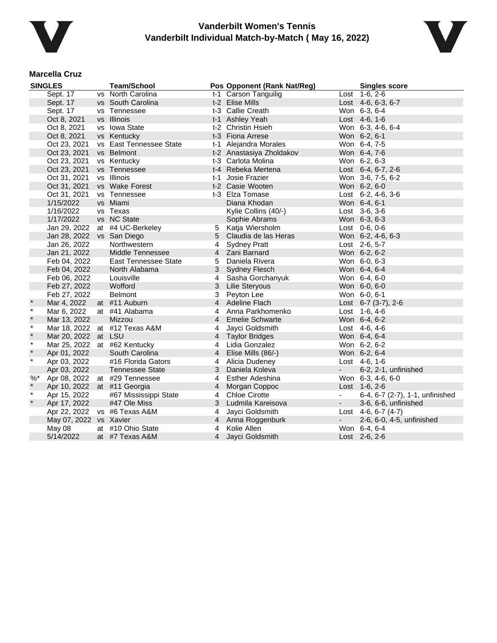



#### **Marcella Cruz**

|         | <b>SINGLES</b>         | <b>Team/School</b>            |                | Pos Opponent (Rank Nat/Reg) |            | <b>Singles score</b>            |
|---------|------------------------|-------------------------------|----------------|-----------------------------|------------|---------------------------------|
|         | Sept. 17               | vs North Carolina             |                | t-1 Carson Tanguilig        |            | Lost 1-6, 2-6                   |
|         | Sept. 17               | vs South Carolina             |                | t-2 Elise Mills             |            | Lost 4-6, 6-3, 6-7              |
|         | Sept. 17               | vs Tennessee                  |                | t-3 Callie Creath           |            | Won 6-3, 6-4                    |
|         | Oct 8, 2021            | vs Illinois                   |                | t-1 Ashley Yeah             |            | Lost 4-6, 1-6                   |
|         | Oct 8, 2021            | vs Iowa State                 |                | t-2 Christin Hsieh          |            | Won 6-3, 4-6, 6-4               |
|         | Oct 8, 2021            | vs Kentucky                   |                | t-3 Fiona Arrese            |            | Won 6-2, 6-1                    |
|         | Oct 23, 2021           | vs East Tennessee State       |                | t-1 Alejandra Morales       |            | Won 6-4, 7-5                    |
|         | Oct 23, 2021           | vs Belmont                    |                | t-2 Anastasiya Zholdakov    |            | Won 6-4, 7-6                    |
|         | Oct 23, 2021           | vs Kentucky                   |                | t-3 Carlota Molina          |            | Won 6-2, 6-3                    |
|         | Oct 23, 2021           | vs Tennessee                  |                | t-4 Rebeka Mertena          |            | Lost 6-4, 6-7, 2-6              |
|         | Oct 31, 2021           | vs Illinois                   |                | t-1 Josie Frazier           |            | Won 3-6, 7-5, 6-2               |
|         | Oct 31, 2021           | vs Wake Forest                |                | t-2 Casie Wooten            |            | Won 6-2, 6-0                    |
|         | Oct 31, 2021           | vs Tennessee                  |                | t-3 Elza Tomase             |            | Lost $6-2$ , $4-6$ , $3-6$      |
|         | 1/15/2022              | vs Miami                      |                | Diana Khodan                |            | Won 6-4, 6-1                    |
|         | 1/16/2022              | vs Texas                      |                | Kylie Collins (40/-)        |            | Lost $3-6, 3-6$                 |
|         | 1/17/2022              | vs NC State                   |                | Sophie Abrams               |            | Won 6-3, 6-3                    |
|         | Jan 29, 2022           | at #4 UC-Berkeley             |                | 5 Katja Wiersholm           |            | Lost 0-6, 0-6                   |
|         | Jan 28, 2022           | vs San Diego                  | 5              | Claudia de las Heras        |            | Won 6-2, 4-6, 6-3               |
|         | Jan 26, 2022           | Northwestern                  | 4              | <b>Sydney Pratt</b>         |            | Lost 2-6, 5-7                   |
|         | Jan 21, 2022           | Middle Tennessee              | $\overline{4}$ | Zani Barnard                |            | Won 6-2, 6-2                    |
|         | Feb 04, 2022           | <b>East Tennessee State</b>   | 5              | Daniela Rivera              |            | Won 6-0, 6-3                    |
|         | Feb 04, 2022           | North Alabama                 | 3              | <b>Sydney Flesch</b>        |            | Won 6-4, 6-4                    |
|         | Feb 06, 2022           | Louisville                    | $\overline{4}$ | Sasha Gorchanyuk            |            | Won 6-4, 6-0                    |
|         | Feb 27, 2022           | Wofford                       | 3              | <b>Lilie Steryous</b>       |            | Won 6-0, 6-0                    |
|         | Feb 27, 2022           | <b>Belmont</b>                | 3              | Peyton Lee                  |            | Won 6-0, 6-1                    |
|         | Mar 4, 2022            | at #11 Auburn                 | $\overline{4}$ | <b>Adeline Flach</b>        |            | Lost $6-7$ (3-7), 2-6           |
| $\star$ | Mar 6, 2022            | at #41 Alabama                | 4              | Anna Parkhomenko            |            | Lost 1-6, 4-6                   |
| $\star$ | Mar 13, 2022           | Mizzou                        |                | 4 Emelie Schwarte           |            | Won 6-4, 6-2                    |
| $\star$ |                        | Mar 18, 2022 at #12 Texas A&M | 4              | Jayci Goldsmith             |            | Lost 4-6, 4-6                   |
| $\star$ | Mar 20, 2022           | at LSU                        | $\overline{4}$ | <b>Taylor Bridges</b>       |            | Won 6-4, 6-4                    |
| $\ast$  |                        | Mar 25, 2022 at #62 Kentucky  | 4              | Lidia Gonzalez              |            | Won 6-2, 6-2                    |
| $\star$ | Apr 01, 2022           | South Carolina                | $\overline{4}$ | Elise Mills (86/-)          |            | Won 6-2, 6-4                    |
| $\star$ | Apr 03, 2022           | #16 Florida Gators            | 4              | Alicia Dudeney              |            | Lost 4-6, 1-6                   |
|         | Apr 03, 2022           | <b>Tennessee State</b>        | 3              | Daniela Koleva              |            | 6-2, 2-1, unfinished            |
| $%$ *   | Apr 08, 2022           | at #29 Tennessee              | 4              | Esther Adeshina             |            | Won 6-3, 4-6, 6-0               |
| $\star$ | Apr 10, 2022           | at #11 Georgia                | $\overline{4}$ | Morgan Coppoc               |            | Lost 1-6, 2-6                   |
| $\star$ | Apr 15, 2022           | #67 Mississippi State         | 4              | <b>Chloe Cirotte</b>        |            | 6-4, 6-7 (2-7), 1-1, unfinished |
| $\star$ | Apr 17, 2022           | #47 Ole Miss                  | 3              | Ludmila Kareisova           |            | 3-6, 6-6, unfinished            |
|         | Apr 22, 2022           | vs #6 Texas A&M               | 4              | Jayci Goldsmith             |            | Lost $4-6, 6-7 (4-7)$           |
|         | May 07, 2022 vs Xavier |                               |                | 4 Anna Roggenburk           | $\sim 100$ | 2-6, 6-0, 4-5, unfinished       |
|         | May 08                 | at #10 Ohio State             | 4              | Kolie Allen                 |            | Won 6-4, 6-4                    |
|         | 5/14/2022              | at #7 Texas A&M               | $\overline{4}$ | Jayci Goldsmith             |            | Lost 2-6, 2-6                   |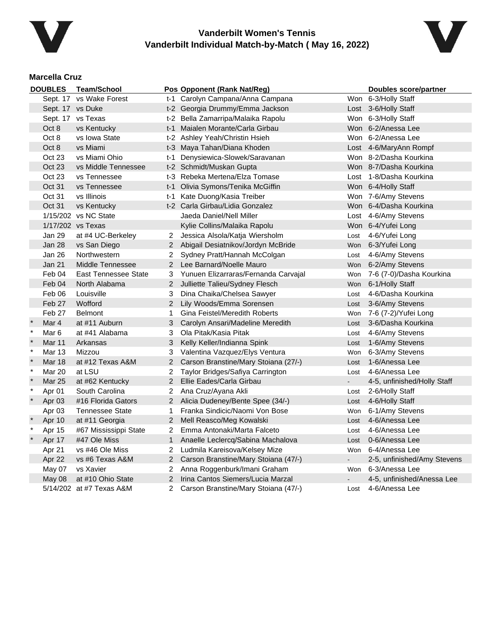



### **Marcella Cruz**

|         | <b>DOUBLES</b>   | <b>Team/School</b>          |                       | Pos Opponent (Rank Nat/Reg)          |                | Doubles score/partner       |
|---------|------------------|-----------------------------|-----------------------|--------------------------------------|----------------|-----------------------------|
|         |                  | Sept. 17 vs Wake Forest     |                       | t-1 Carolyn Campana/Anna Campana     |                | Won 6-3/Holly Staff         |
|         | Sept. 17 vs Duke |                             |                       | t-2 Georgia Drummy/Emma Jackson      |                | Lost 3-6/Holly Staff        |
|         |                  | Sept. 17 vs Texas           |                       | t-2 Bella Zamarripa/Malaika Rapolu   |                | Won 6-3/Holly Staff         |
|         | Oct 8            | vs Kentucky                 | t-1                   | Maialen Morante/Carla Girbau         |                | Won 6-2/Anessa Lee          |
|         | Oct 8            | vs Iowa State               |                       | t-2 Ashley Yeah/Christin Hsieh       |                | Won 6-2/Anessa Lee          |
|         | Oct 8            | vs Miami                    |                       | t-3 Maya Tahan/Diana Khoden          |                | Lost 4-6/MaryAnn Rompf      |
|         | Oct 23           | vs Miami Ohio               | t-1                   | Denysiewica-Slowek/Saravanan         |                | Won 8-2/Dasha Kourkina      |
|         | Oct 23           | vs Middle Tennessee         |                       | t-2 Schmidt/Muskan Gupta             |                | Won 8-7/Dasha Kourkina      |
|         | Oct 23           | vs Tennessee                |                       | t-3 Rebeka Mertena/Elza Tomase       |                | Lost 1-8/Dasha Kourkina     |
|         | Oct 31           | vs Tennessee                | t-1                   | Olivia Symons/Tenika McGiffin        |                | Won 6-4/Holly Staff         |
|         | Oct 31           | vs Illinois                 | t-1                   | Kate Duong/Kasia Treiber             |                | Won 7-6/Amy Stevens         |
|         | Oct 31           | vs Kentucky                 |                       | t-2 Carla Girbau/Lidia Gonzalez      |                | Won 6-4/Dasha Kourkina      |
|         |                  | 1/15/202 vs NC State        |                       | Jaeda Daniel/Nell Miller             |                | Lost 4-6/Amy Stevens        |
|         |                  | 1/17/202 vs Texas           |                       | Kylie Collins/Malaika Rapolu         |                | Won 6-4/Yufei Long          |
|         | Jan 29           | at #4 UC-Berkeley           | $\mathbf{2}$          | Jessica Alsola/Katja Wiersholm       | Lost           | 4-6/Yufei Long              |
|         | <b>Jan 28</b>    | vs San Diego                | $\mathbf{2}$          | Abigail Desiatnikov/Jordyn McBride   |                | Won 6-3/Yufei Long          |
|         | Jan 26           | Northwestern                | 2                     | Sydney Pratt/Hannah McColgan         | Lost           | 4-6/Amy Stevens             |
|         | <b>Jan 21</b>    | Middle Tennessee            | $\overline{2}$        | Lee Barnard/Noelle Mauro             | Won            | 6-2/Amy Stevens             |
|         | Feb 04           | <b>East Tennessee State</b> | 3                     | Yunuen Elizarraras/Fernanda Carvajal | Won            | 7-6 (7-0)/Dasha Kourkina    |
|         | Feb 04           | North Alabama               | $\overline{2}$        | Julliette Talieu/Sydney Flesch       |                | Won 6-1/Holly Staff         |
|         | Feb 06           | Louisville                  | 3                     | Dina Chaika/Chelsea Sawyer           | Lost           | 4-6/Dasha Kourkina          |
|         | Feb 27           | Wofford                     | $\overline{2}$        | Lily Woods/Emma Sorensen             | Lost           | 3-6/Amy Stevens             |
|         | Feb 27           | <b>Belmont</b>              | 1                     | Gina Feistel/Meredith Roberts        | Won            | 7-6 (7-2)/Yufei Long        |
|         | Mar 4            | at #11 Auburn               | 3                     | Carolyn Ansari/Madeline Meredith     | Lost           | 3-6/Dasha Kourkina          |
| $\star$ | Mar 6            | at #41 Alabama              | 3                     | Ola Pitak/Kasia Pitak                | Lost           | 4-6/Amy Stevens             |
| $\ast$  | Mar 11           | Arkansas                    | 3                     | Kelly Keller/Indianna Spink          | Lost           | 1-6/Amy Stevens             |
| $\star$ | Mar 13           | Mizzou                      | 3                     | Valentina Vazquez/Elys Ventura       | Won            | 6-3/Amy Stevens             |
| $\star$ | <b>Mar 18</b>    | at #12 Texas A&M            | 2                     | Carson Branstine/Mary Stoiana (27/-) | Lost           | 1-6/Anessa Lee              |
| $\ast$  | <b>Mar 20</b>    | at LSU                      | 2                     | Taylor Bridges/Safiya Carrington     | Lost           | 4-6/Anessa Lee              |
| $\star$ | <b>Mar 25</b>    | at #62 Kentucky             | $\overline{2}$        | Ellie Eades/Carla Girbau             |                | 4-5, unfinished/Holly Staff |
| $\ast$  | Apr 01           | South Carolina              | 2                     | Ana Cruz/Ayana Akli                  | Lost           | 2-6/Holly Staff             |
| $\ast$  | Apr 03           | #16 Florida Gators          | $\overline{2}$        | Alicia Dudeney/Bente Spee (34/-)     | Lost           | 4-6/Holly Staff             |
|         | Apr 03           | <b>Tennessee State</b>      | 1                     | Franka Sindicic/Naomi Von Bose       | Won            | 6-1/Amy Stevens             |
|         | Apr 10           | at #11 Georgia              | $\overline{2}$        | Mell Reasco/Meg Kowalski             | Lost           | 4-6/Anessa Lee              |
|         | Apr 15           | #67 Mississippi State       | 2                     | Emma Antonaki/Marta Falceto          | Lost           | 4-6/Anessa Lee              |
|         | Apr 17           | #47 Ole Miss                | $\mathbf{1}$          | Anaelle Leclercq/Sabina Machalova    | Lost           | 0-6/Anessa Lee              |
|         | Apr 21           | vs #46 Ole Miss             | 2                     | Ludmila Kareisova/Kelsey Mize        | Won            | 6-4/Anessa Lee              |
|         | Apr 22           | vs #6 Texas A&M             | $\mathbf{2}^{\prime}$ | Carson Branstine/Mary Stoiana (47/-) | $\blacksquare$ | 2-5, unfinished/Amy Stevens |
|         | May 07           | vs Xavier                   | $\mathbf{2}^{\circ}$  | Anna Roggenburk/Imani Graham         |                | Won 6-3/Anessa Lee          |
|         | May 08           | at #10 Ohio State           | 2                     | Irina Cantos Siemers/Lucia Marzal    |                | 4-5, unfinished/Anessa Lee  |
|         |                  | 5/14/202 at #7 Texas A&M    | 2                     | Carson Branstine/Mary Stoiana (47/-) | Lost           | 4-6/Anessa Lee              |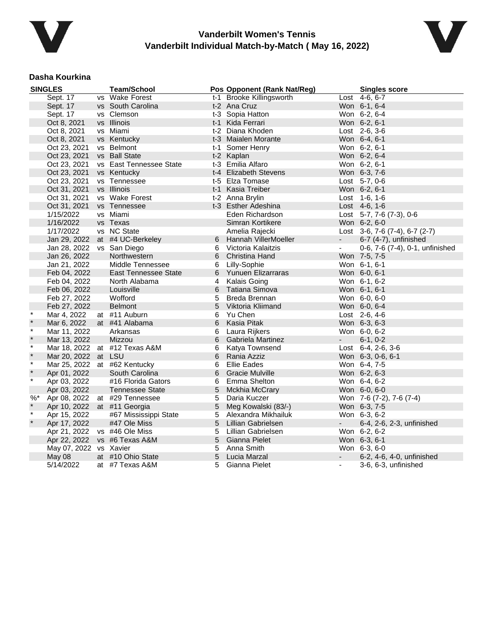



#### **Dasha Kourkina**

|         | <b>SINGLES</b> | <b>Team/School</b>      |   | Pos Opponent (Rank Nat/Reg) |                | <b>Singles score</b>               |
|---------|----------------|-------------------------|---|-----------------------------|----------------|------------------------------------|
|         | Sept. 17       | vs Wake Forest          |   | t-1 Brooke Killingsworth    |                | Lost 4-6, 6-7                      |
|         | Sept. 17       | vs South Carolina       |   | t-2 Ana Cruz                |                | Won 6-1, 6-4                       |
|         | Sept. 17       | vs Clemson              |   | t-3 Sopia Hatton            |                | Won 6-2, 6-4                       |
|         | Oct 8, 2021    | vs Illinois             |   | t-1 Kida Ferrari            |                | Won 6-2, 6-1                       |
|         | Oct 8, 2021    | vs Miami                |   | t-2 Diana Khoden            |                | Lost 2-6, 3-6                      |
|         | Oct 8, 2021    | vs Kentucky             |   | t-3 Maialen Morante         |                | Won 6-4, 6-1                       |
|         | Oct 23, 2021   | vs Belmont              |   | t-1 Somer Henry             |                | Won 6-2, 6-1                       |
|         | Oct 23, 2021   | vs Ball State           |   | t-2 Kaplan                  |                | Won 6-2, 6-4                       |
|         | Oct 23, 2021   | vs East Tennessee State |   | t-3 Emilia Alfaro           |                | Won 6-2, 6-1                       |
|         | Oct 23, 2021   | vs Kentucky             |   | t-4 Elizabeth Stevens       |                | Won 6-3, 7-6                       |
|         | Oct 23, 2021   | vs Tennessee            |   | t-5 Elza Tomase             |                | Lost 5-7, 0-6                      |
|         | Oct 31, 2021   | vs Illinois             |   | t-1 Kasia Treiber           |                | Won 6-2, 6-1                       |
|         | Oct 31, 2021   | vs Wake Forest          |   | t-2 Anna Brylin             |                | Lost 1-6, 1-6                      |
|         | Oct 31, 2021   | vs Tennessee            |   | t-3 Esther Adeshina         |                | Lost 4-6, 1-6                      |
|         | 1/15/2022      | vs Miami                |   | Eden Richardson             |                | Lost $5-7$ , $7-6$ $(7-3)$ , $0-6$ |
|         | 1/16/2022      | vs Texas                |   | Simran Kortikere            |                | Won 6-2, 6-0                       |
|         | 1/17/2022      | vs NC State             |   | Amelia Rajecki              |                | Lost 3-6, 7-6 (7-4), 6-7 (2-7)     |
|         | Jan 29, 2022   | at #4 UC-Berkeley       | 6 | Hannah VillerMoeller        | $\sim$         | 6-7 (4-7), unfinished              |
|         | Jan 28, 2022   | vs San Diego            | 6 | Victoria Kalaitzis          | $\blacksquare$ | 0-6, 7-6 (7-4), 0-1, unfinished    |
|         | Jan 26, 2022   | Northwestern            | 6 | Christina Hand              |                | Won 7-5, 7-5                       |
|         | Jan 21, 2022   | Middle Tennessee        | 6 | Lilly-Sophie                |                | Won 6-1, 6-1                       |
|         | Feb 04, 2022   | East Tennessee State    | 6 | Yunuen Elizarraras          |                | Won 6-0, 6-1                       |
|         | Feb 04, 2022   | North Alabama           | 4 | Kalais Going                |                | Won 6-1, 6-2                       |
|         | Feb 06, 2022   | Louisville              | 6 | Tatiana Simova              |                | Won 6-1, 6-1                       |
|         | Feb 27, 2022   | Wofford                 | 5 | Breda Brennan               |                | Won 6-0, 6-0                       |
|         | Feb 27, 2022   | <b>Belmont</b>          | 5 | Viktoria Kliimand           |                | Won 6-0, 6-4                       |
| $\star$ | Mar 4, 2022    | at #11 Auburn           | 6 | Yu Chen                     |                | Lost 2-6, 4-6                      |
| $\star$ | Mar 6, 2022    | at #41 Alabama          | 6 | Kasia Pitak                 |                | Won 6-3, 6-3                       |
| $\star$ | Mar 11, 2022   | Arkansas                | 6 | Laura Rijkers               |                | Won 6-0, 6-2                       |
| $\star$ | Mar 13, 2022   | Mizzou                  | 6 | Gabriela Martinez           | $\sim$         | $6-1, 0-2$                         |
| $\star$ | Mar 18, 2022   | at #12 Texas A&M        | 6 | Katya Townsend              |                | Lost 6-4, 2-6, 3-6                 |
| $\star$ | Mar 20, 2022   | at LSU                  | 6 | Rania Azziz                 |                | Won 6-3, 0-6, 6-1                  |
| $\star$ | Mar 25, 2022   | at #62 Kentucky         | 6 | <b>Ellie Eades</b>          |                | Won 6-4, 7-5                       |
| $\star$ | Apr 01, 2022   | South Carolina          | 6 | <b>Gracie Mulville</b>      |                | Won 6-2, 6-3                       |
| $\star$ | Apr 03, 2022   | #16 Florida Gators      | 6 | Emma Shelton                |                | Won 6-4, 6-2                       |
|         | Apr 03, 2022   | Tennessee State         | 5 | Mckhia McCrary              |                | Won 6-0, 6-0                       |
| $%$ *   | Apr 08, 2022   | at #29 Tennessee        | 5 | Daria Kuczer                |                | Won 7-6 (7-2), 7-6 (7-4)           |
| $\star$ | Apr 10, 2022   | at #11 Georgia          | 5 | Meg Kowalski (83/-)         |                | Won 6-3, 7-5                       |
| $\star$ | Apr 15, 2022   | #67 Mississippi State   | 5 | Alexandra Mikhailuk         |                | Won 6-3, 6-2                       |
| $\star$ | Apr 17, 2022   | #47 Ole Miss            | 5 | Lillian Gabrielsen          | $\sim$         | 6-4, 2-6, 2-3, unfinished          |
|         | Apr 21, 2022   | vs #46 Ole Miss         | 5 | Lillian Gabrielsen          |                | Won 6-2, 6-2                       |
|         | Apr 22, 2022   | vs #6 Texas A&M         | 5 | Gianna Pielet               |                | Won 6-3, 6-1                       |
|         | May 07, 2022   | vs Xavier               | 5 | Anna Smith                  |                | Won 6-3, 6-0                       |
|         | May 08         | at #10 Ohio State       | 5 | Lucia Marzal                |                | 6-2, 4-6, 4-0, unfinished          |
|         | 5/14/2022      | at #7 Texas A&M         | 5 | Gianna Pielet               | $\blacksquare$ | 3-6, 6-3, unfinished               |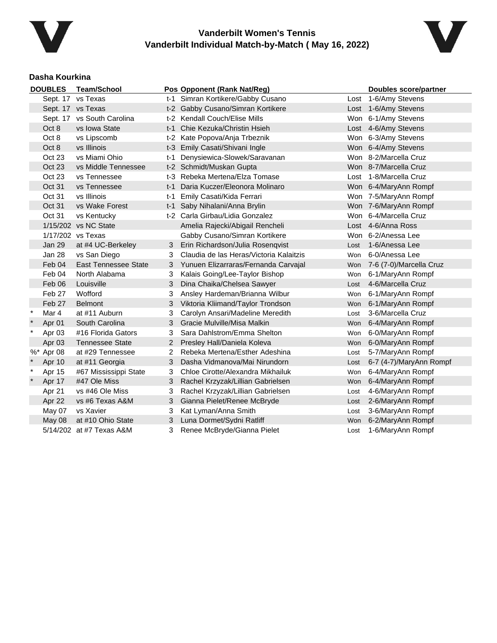



### **Dasha Kourkina**

| <b>DOUBLES</b> |               | <b>Team/School</b>          |                | Pos Opponent (Rank Nat/Reg)             |      | <b>Doubles score/partner</b> |  |  |
|----------------|---------------|-----------------------------|----------------|-----------------------------------------|------|------------------------------|--|--|
|                |               | Sept. 17 vs Texas           |                | t-1 Simran Kortikere/Gabby Cusano       |      | Lost 1-6/Amy Stevens         |  |  |
|                |               | Sept. 17 vs Texas           |                | t-2 Gabby Cusano/Simran Kortikere       |      | Lost 1-6/Amy Stevens         |  |  |
|                |               | Sept. 17 vs South Carolina  |                | t-2 Kendall Couch/Elise Mills           |      | Won 6-1/Amy Stevens          |  |  |
|                | Oct 8         | vs Iowa State               | t-1            | Chie Kezuka/Christin Hsieh              |      | Lost 4-6/Amy Stevens         |  |  |
|                | Oct 8         | vs Lipscomb                 |                | t-2 Kate Popova/Anja Trbeznik           |      | Won 6-3/Amy Stevens          |  |  |
|                | Oct 8         | vs Illinois                 |                | t-3 Emily Casati/Shivani Ingle          |      | Won 6-4/Amy Stevens          |  |  |
|                | Oct 23        | vs Miami Ohio               | t-1            | Denysiewica-Slowek/Saravanan            |      | Won 8-2/Marcella Cruz        |  |  |
|                | <b>Oct 23</b> | vs Middle Tennessee         |                | t-2 Schmidt/Muskan Gupta                |      | Won 8-7/Marcella Cruz        |  |  |
|                | Oct 23        | vs Tennessee                |                | t-3 Rebeka Mertena/Elza Tomase          |      | Lost 1-8/Marcella Cruz       |  |  |
|                | Oct 31        | vs Tennessee                | t-1            | Daria Kuczer/Eleonora Molinaro          |      | Won 6-4/MaryAnn Rompf        |  |  |
|                | Oct 31        | vs Illinois                 | t-1            | Emily Casati/Kida Ferrari               |      | Won 7-5/MaryAnn Rompf        |  |  |
|                | Oct 31        | vs Wake Forest              | t-1            | Saby Nihalani/Anna Brylin               |      | Won 7-6/MaryAnn Rompf        |  |  |
|                | Oct 31        | vs Kentucky                 |                | t-2 Carla Girbau/Lidia Gonzalez         |      | Won 6-4/Marcella Cruz        |  |  |
|                |               | 1/15/202 vs NC State        |                | Amelia Rajecki/Abigail Rencheli         |      | Lost 4-6/Anna Ross           |  |  |
|                |               | 1/17/202 vs Texas           |                | Gabby Cusano/Simran Kortikere           |      | Won 6-2/Anessa Lee           |  |  |
|                | Jan 29        | at #4 UC-Berkeley           | 3              | Erin Richardson/Julia Rosenqvist        | Lost | 1-6/Anessa Lee               |  |  |
|                | Jan 28        | vs San Diego                | 3              | Claudia de las Heras/Victoria Kalaitzis | Won  | 6-0/Anessa Lee               |  |  |
|                | Feb 04        | <b>East Tennessee State</b> | 3              | Yunuen Elizarraras/Fernanda Carvajal    |      | Won 7-6 (7-0)/Marcella Cruz  |  |  |
|                | Feb 04        | North Alabama               | 3              | Kalais Going/Lee-Taylor Bishop          | Won  | 6-1/MaryAnn Rompf            |  |  |
|                | Feb 06        | Louisville                  | 3              | Dina Chaika/Chelsea Sawyer              | Lost | 4-6/Marcella Cruz            |  |  |
|                | Feb 27        | Wofford                     | 3              | Ansley Hardeman/Brianna Wilbur          | Won  | 6-1/MaryAnn Rompf            |  |  |
|                | Feb 27        | <b>Belmont</b>              | 3              | Viktoria Kliimand/Taylor Trondson       |      | Won 6-1/MaryAnn Rompf        |  |  |
| $^\star$       | Mar 4         | at #11 Auburn               | 3              | Carolyn Ansari/Madeline Meredith        | Lost | 3-6/Marcella Cruz            |  |  |
|                | Apr 01        | South Carolina              | 3              | Gracie Mulville/Misa Malkin             | Won  | 6-4/MaryAnn Rompf            |  |  |
| $\ast$         | Apr 03        | #16 Florida Gators          | 3              | Sara Dahlstrom/Emma Shelton             | Won  | 6-0/MaryAnn Rompf            |  |  |
|                | Apr 03        | <b>Tennessee State</b>      | $\overline{2}$ | Presley Hall/Daniela Koleva             | Won  | 6-0/MaryAnn Rompf            |  |  |
|                | %* Apr 08     | at #29 Tennessee            | 2              | Rebeka Mertena/Esther Adeshina          | Lost | 5-7/MaryAnn Rompf            |  |  |
|                | Apr 10        | at #11 Georgia              | 3              | Dasha Vidmanova/Mai Nirundorn           | Lost | 6-7 (4-7)/MaryAnn Rompf      |  |  |
| $\ast$         | Apr 15        | #67 Mississippi State       | 3              | Chloe Cirotte/Alexandra Mikhailuk       | Won  | 6-4/MaryAnn Rompf            |  |  |
| $\star$        | Apr 17        | #47 Ole Miss                | 3              | Rachel Krzyzak/Lillian Gabrielsen       | Won  | 6-4/MaryAnn Rompf            |  |  |
|                | Apr 21        | vs #46 Ole Miss             | 3              | Rachel Krzyzak/Lillian Gabrielsen       | Lost | 4-6/MaryAnn Rompf            |  |  |
|                | Apr 22        | vs #6 Texas A&M             | 3              | Gianna Pielet/Renee McBryde             | Lost | 2-6/MaryAnn Rompf            |  |  |
|                | May 07        | vs Xavier                   | 3              | Kat Lyman/Anna Smith                    | Lost | 3-6/MaryAnn Rompf            |  |  |
|                | May 08        | at #10 Ohio State           | 3              | Luna Dormet/Sydni Ratliff               |      | Won 6-2/MaryAnn Rompf        |  |  |
|                |               | 5/14/202 at #7 Texas A&M    | 3              | Renee McBryde/Gianna Pielet             | Lost | 1-6/MaryAnn Rompf            |  |  |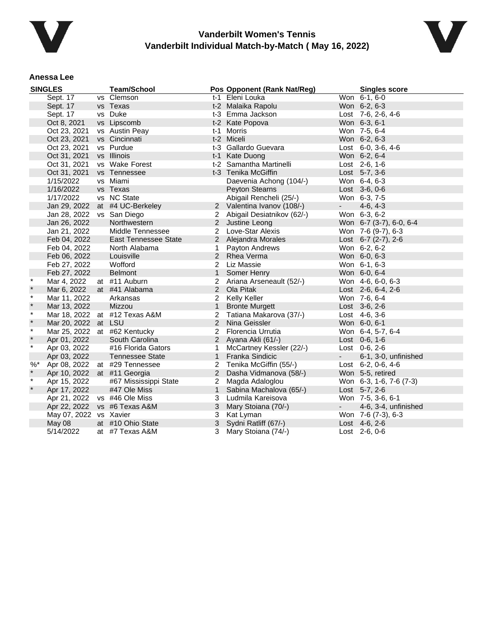



#### **Anessa Lee**

|         | <b>SINGLES</b>         | <b>Team/School</b>            |                | Pos Opponent (Rank Nat/Reg)  |            | <b>Singles score</b>       |
|---------|------------------------|-------------------------------|----------------|------------------------------|------------|----------------------------|
|         | Sept. 17               | vs Clemson                    |                | t-1 Eleni Louka              |            | Won 6-1, 6-0               |
|         | Sept. 17               | vs Texas                      |                | t-2 Malaika Rapolu           |            | Won 6-2, 6-3               |
|         | Sept. 17               | vs Duke                       |                | t-3 Emma Jackson             |            | Lost 7-6, 2-6, 4-6         |
|         | Oct 8, 2021            | vs Lipscomb                   |                | t-2 Kate Popova              |            | Won 6-3, 6-1               |
|         | Oct 23, 2021           | vs Austin Peay                | t-1            | Morris                       |            | Won 7-5, 6-4               |
|         | Oct 23, 2021           | vs Cincinnati                 |                | t-2 Miceli                   |            | Won 6-2, 6-3               |
|         | Oct 23, 2021           | vs Purdue                     |                | t-3 Gallardo Guevara         |            | Lost $6-0$ , $3-6$ , $4-6$ |
|         | Oct 31, 2021           | vs Illinois                   |                | t-1 Kate Duong               |            | Won 6-2, 6-4               |
|         | Oct 31, 2021           | vs Wake Forest                |                | t-2 Samantha Martinelli      |            | Lost 2-6, 1-6              |
|         | Oct 31, 2021           | vs Tennessee                  |                | t-3 Tenika McGiffin          |            | Lost $5-7, 3-6$            |
|         | 1/15/2022              | vs Miami                      |                | Daevenia Achong (104/-)      |            | Won 6-4, 6-3               |
|         | 1/16/2022              | vs Texas                      |                | <b>Peyton Stearns</b>        |            | Lost 3-6, 0-6              |
|         | 1/17/2022              | vs NC State                   |                | Abigail Rencheli (25/-)      |            | Won 6-3, 7-5               |
|         | Jan 29, 2022           | at #4 UC-Berkeley             |                | 2 Valentina Ivanov (108/-)   | $\sim 100$ | $4-6, 4-3$                 |
|         | Jan 28, 2022           | vs San Diego                  |                | 2 Abigail Desiatnikov (62/-) |            | Won 6-3, 6-2               |
|         | Jan 26, 2022           | Northwestern                  |                | 2 Justine Leong              |            | Won 6-7 (3-7), 6-0, 6-4    |
|         | Jan 21, 2022           | Middle Tennessee              |                | 2 Love-Star Alexis           |            | Won 7-6 (9-7), 6-3         |
|         | Feb 04, 2022           | <b>East Tennessee State</b>   |                | 2 Alejandra Morales          |            | Lost $6-7$ (2-7), 2-6      |
|         | Feb 04, 2022           | North Alabama                 | 1              | Payton Andrews               |            | Won 6-2, 6-2               |
|         | Feb 06, 2022           | Louisville                    |                | 2 Rhea Verma                 |            | Won 6-0, 6-3               |
|         | Feb 27, 2022           | Wofford                       |                | 2 Liz Massie                 |            | Won 6-1, 6-3               |
|         | Feb 27, 2022           | <b>Belmont</b>                | 1              | Somer Henry                  |            | Won 6-0, 6-4               |
| $\star$ | Mar 4, 2022            | at #11 Auburn                 |                | 2 Ariana Arseneault (52/-)   |            | Won 4-6, 6-0, 6-3          |
| $\star$ | Mar 6, 2022            | at #41 Alabama                |                | 2 Ola Pitak                  |            | Lost $2-6, 6-4, 2-6$       |
| $\star$ | Mar 11, 2022           | Arkansas                      | 2              | Kelly Keller                 |            | Won 7-6, 6-4               |
| $\star$ | Mar 13, 2022           | Mizzou                        | $\mathbf{1}$   | <b>Bronte Murgett</b>        |            | Lost 3-6, 2-6              |
| $\star$ |                        | Mar 18, 2022 at #12 Texas A&M | $\overline{2}$ | Tatiana Makarova (37/-)      |            | Lost 4-6, 3-6              |
| $\ast$  | Mar 20, 2022 at LSU    |                               |                | 2 Nina Geissler              |            | Won 6-0, 6-1               |
| $\star$ |                        | Mar 25, 2022 at #62 Kentucky  | 2              | Florencia Urrutia            |            | Won 6-4, 5-7, 6-4          |
| $\star$ | Apr 01, 2022           | South Carolina                |                | 2 Ayana Akli (61/-)          |            | Lost 0-6, 1-6              |
| $\star$ | Apr 03, 2022           | #16 Florida Gators            | $\mathbf 1$    | McCartney Kessler (22/-)     |            | Lost 0-6, 2-6              |
|         | Apr 03, 2022           | <b>Tennessee State</b>        |                | 1 Franka Sindicic            | $\sim 100$ | 6-1, 3-0, unfinished       |
| $%$ *   | Apr 08, 2022           | at #29 Tennessee              | $\overline{2}$ | Tenika McGiffin (55/-)       |            | Lost $6-2$ , 0-6, 4-6      |
|         | Apr 10, 2022           | at #11 Georgia                | $\overline{2}$ | Dasha Vidmanova (58/-)       |            | Won 5-5, retired           |
| $\ast$  | Apr 15, 2022           | #67 Mississippi State         |                | 2 Magda Adaloglou            |            | Won 6-3, 1-6, 7-6 (7-3)    |
| $\star$ | Apr 17, 2022           | #47 Ole Miss                  | $\mathbf{1}$   | Sabina Machalova (65/-)      |            | Lost 5-7, 2-6              |
|         | Apr 21, 2022           | vs #46 Ole Miss               |                | 3 Ludmila Kareisova          |            | Won 7-5, 3-6, 6-1          |
|         | Apr 22, 2022           | vs #6 Texas A&M               | 3              | Mary Stoiana (70/-)          | $\sim$     | 4-6, 3-4, unfinished       |
|         | May 07, 2022 vs Xavier |                               |                | 3 Kat Lyman                  |            | Won 7-6 (7-3), 6-3         |
|         | May 08                 | at #10 Ohio State             | 3              | Sydni Ratliff (67/-)         |            | Lost 4-6, 2-6              |
|         | 5/14/2022              | at #7 Texas A&M               | 3              | Mary Stoiana (74/-)          |            | Lost $2-6, 0-6$            |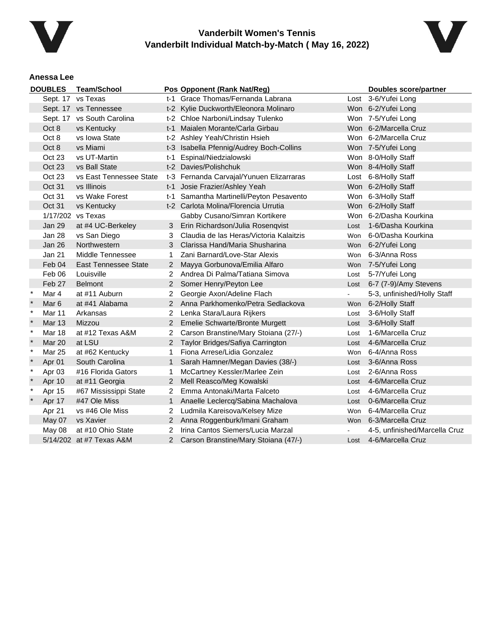



### **Anessa Lee**

|              | <b>DOUBLES</b>   | <b>Team/School</b>          |                | Pos Opponent (Rank Nat/Reg)              |                | <b>Doubles score/partner</b>  |
|--------------|------------------|-----------------------------|----------------|------------------------------------------|----------------|-------------------------------|
|              |                  | Sept. 17 vs Texas           |                | t-1 Grace Thomas/Fernanda Labrana        |                | Lost 3-6/Yufei Long           |
|              |                  | Sept. 17 vs Tennessee       |                | t-2 Kylie Duckworth/Eleonora Molinaro    |                | Won 6-2/Yufei Long            |
|              |                  | Sept. 17 vs South Carolina  |                | t-2 Chloe Narboni/Lindsay Tulenko        |                | Won 7-5/Yufei Long            |
|              | Oct 8            | vs Kentucky                 |                | t-1 Maialen Morante/Carla Girbau         |                | Won 6-2/Marcella Cruz         |
|              | Oct 8            | vs Iowa State               |                | t-2 Ashley Yeah/Christin Hsieh           |                | Won 6-2/Marcella Cruz         |
|              | Oct 8            | vs Miami                    |                | t-3 Isabella Pfennig/Audrey Boch-Collins |                | Won 7-5/Yufei Long            |
|              | Oct 23           | vs UT-Martin                | t-1            | Espinal/Niedzialowski                    |                | Won 8-0/Holly Staff           |
|              | Oct 23           | vs Ball State               |                | t-2 Davies/Polishchuk                    |                | Won 8-4/Holly Staff           |
|              | Oct 23           | vs East Tennessee State     |                | t-3 Fernanda Carvajal/Yunuen Elizarraras |                | Lost 6-8/Holly Staff          |
|              | Oct 31           | vs Illinois                 |                | t-1 Josie Frazier/Ashley Yeah            |                | Won 6-2/Holly Staff           |
|              | Oct 31           | vs Wake Forest              |                | t-1 Samantha Martinelli/Peyton Pesavento |                | Won 6-3/Holly Staff           |
|              | <b>Oct 31</b>    | vs Kentucky                 |                | t-2 Carlota Molina/Florencia Urrutia     |                | Won 6-2/Holly Staff           |
|              |                  | 1/17/202 vs Texas           |                | Gabby Cusano/Simran Kortikere            |                | Won 6-2/Dasha Kourkina        |
|              | Jan 29           | at #4 UC-Berkeley           | 3.             | Erin Richardson/Julia Rosenqvist         | Lost           | 1-6/Dasha Kourkina            |
|              | Jan 28           | vs San Diego                | 3              | Claudia de las Heras/Victoria Kalaitzis  | Won            | 6-0/Dasha Kourkina            |
|              | <b>Jan 26</b>    | Northwestern                | 3              | Clarissa Hand/Maria Shusharina           | Won            | 6-2/Yufei Long                |
|              | <b>Jan 21</b>    | Middle Tennessee            | 1              | Zani Barnard/Love-Star Alexis            | Won            | 6-3/Anna Ross                 |
|              | Feb 04           | <b>East Tennessee State</b> | $\overline{2}$ | Mayya Gorbunova/Emilia Alfaro            |                | Won 7-5/Yufei Long            |
|              | Feb 06           | Louisville                  | 2              | Andrea Di Palma/Tatiana Simova           | Lost           | 5-7/Yufei Long                |
|              | Feb 27           | <b>Belmont</b>              | $\mathbf{2}^-$ | Somer Henry/Peyton Lee                   | Lost           | 6-7 (7-9)/Amy Stevens         |
| $\ast$       | Mar 4            | at #11 Auburn               | 2              | Georgie Axon/Adeline Flach               | $\blacksquare$ | 5-3, unfinished/Holly Staff   |
| $\pmb{\ast}$ | Mar <sub>6</sub> | at #41 Alabama              | $\mathbf{2}^-$ | Anna Parkhomenko/Petra Sedlackova        | Won            | 6-2/Holly Staff               |
| $\ast$       | Mar 11           | Arkansas                    | 2              | Lenka Stara/Laura Rijkers                | Lost           | 3-6/Holly Staff               |
| $\star$      | <b>Mar 13</b>    | Mizzou                      | $\overline{2}$ | Emelie Schwarte/Bronte Murgett           | Lost           | 3-6/Holly Staff               |
| $\star$      | <b>Mar 18</b>    | at #12 Texas A&M            | 2              | Carson Branstine/Mary Stoiana (27/-)     | Lost           | 1-6/Marcella Cruz             |
|              | <b>Mar 20</b>    | at LSU                      | $\overline{2}$ | Taylor Bridges/Safiya Carrington         | Lost           | 4-6/Marcella Cruz             |
| $\ast$       | Mar 25           | at #62 Kentucky             | 1              | Fiona Arrese/Lidia Gonzalez              | Won            | 6-4/Anna Ross                 |
|              | Apr 01           | South Carolina              | $\mathbf{1}$   | Sarah Hamner/Megan Davies (38/-)         | Lost           | 3-6/Anna Ross                 |
| $\ast$       | Apr 03           | #16 Florida Gators          | 1              | McCartney Kessler/Marlee Zein            | Lost           | 2-6/Anna Ross                 |
|              | Apr 10           | at #11 Georgia              | $\overline{2}$ | Mell Reasco/Meg Kowalski                 |                | Lost 4-6/Marcella Cruz        |
| $\ast$       | Apr 15           | #67 Mississippi State       | 2              | Emma Antonaki/Marta Falceto              | Lost           | 4-6/Marcella Cruz             |
|              | Apr 17           | #47 Ole Miss                | $\mathbf{1}$   | Anaelle Leclercq/Sabina Machalova        | Lost           | 0-6/Marcella Cruz             |
|              | Apr 21           | vs #46 Ole Miss             | 2              | Ludmila Kareisova/Kelsey Mize            | Won            | 6-4/Marcella Cruz             |
|              | May 07           | vs Xavier                   |                | 2 Anna Roggenburk/Imani Graham           |                | Won 6-3/Marcella Cruz         |
|              | May 08           | at #10 Ohio State           | 2              | Irina Cantos Siemers/Lucia Marzal        |                | 4-5, unfinished/Marcella Cruz |
|              |                  | 5/14/202 at #7 Texas A&M    | 2              | Carson Branstine/Mary Stoiana (47/-)     | Lost           | 4-6/Marcella Cruz             |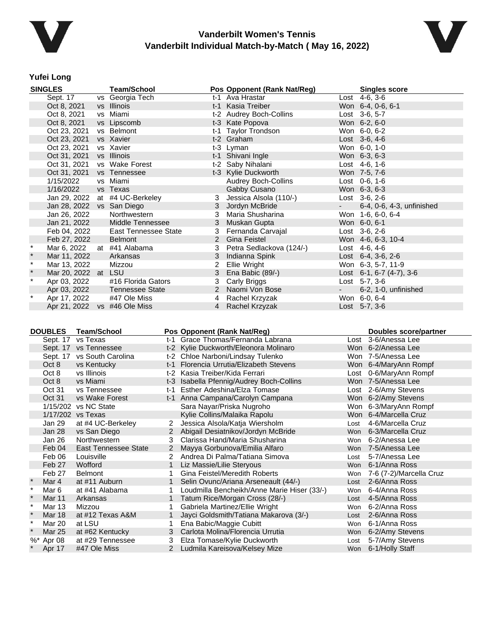



#### **Yufei Long**

|          | <b>SINGLES</b>            | <b>Team/School</b>     |   | Pos Opponent (Rank Nat/Reg) |            | <b>Singles score</b>               |
|----------|---------------------------|------------------------|---|-----------------------------|------------|------------------------------------|
|          | Sept. 17                  | vs Georgia Tech        |   | t-1 Ava Hrastar             |            | Lost 4-6, 3-6                      |
|          | Oct 8, 2021               | vs Illinois            |   | t-1 Kasia Treiber           |            | Won 6-4, 0-6, 6-1                  |
|          | Oct 8, 2021               | vs Miami               |   | t-2 Audrey Boch-Collins     |            | Lost 3-6, 5-7                      |
|          | Oct 8, 2021               | vs Lipscomb            |   | t-3 Kate Popova             |            | Won 6-2, 6-0                       |
|          | Oct 23, 2021              | vs Belmont             |   | t-1 Taylor Trondson         |            | Won 6-0, 6-2                       |
|          | Oct 23, 2021              | vs Xavier              |   | t-2 Graham                  |            | Lost 3-6, 4-6                      |
|          | Oct 23, 2021              | vs Xavier              |   | t-3 Lyman                   |            | Won 6-0, 1-0                       |
|          | Oct 31, 2021              | vs Illinois            |   | t-1 Shivani Ingle           |            | Won 6-3, 6-3                       |
|          | Oct 31, 2021              | vs Wake Forest         |   | t-2 Saby Nihalani           |            | Lost $4-6, 1-6$                    |
|          | Oct 31, 2021              | vs Tennessee           |   | t-3 Kylie Duckworth         |            | Won 7-5, 7-6                       |
|          | 1/15/2022                 | vs Miami               |   | Audrey Boch-Collins         |            | Lost $0-6, 1-6$                    |
|          | 1/16/2022                 | vs Texas               |   | Gabby Cusano                |            | Won 6-3, 6-3                       |
|          | Jan 29, 2022              | at #4 UC-Berkeley      | 3 | Jessica Alsola (110/-)      |            | Lost $3-6$ , $2-6$                 |
|          | Jan 28, 2022 vs San Diego |                        | 3 | Jordyn McBride              | $\sim 100$ | 6-4, 0-6, 4-3, unfinished          |
|          | Jan 26, 2022              | Northwestern           | 3 | Maria Shusharina            |            | Won 1-6, 6-0, 6-4                  |
|          | Jan 21, 2022              | Middle Tennessee       |   | 3 Muskan Gupta              |            | Won 6-0, 6-1                       |
|          | Feb 04, 2022              | East Tennessee State   | 3 | Fernanda Carvajal           |            | $Last 3-6, 2-6$                    |
|          | Feb 27, 2022              | Belmont                |   | 2 Gina Feistel              |            | Won 4-6, 6-3, 10-4                 |
|          | Mar 6, 2022               | at #41 Alabama         |   | Petra Sedlackova (124/-)    |            | Lost 4-6, 4-6                      |
| $\star$  | Mar 11, 2022              | Arkansas               | 3 | Indianna Spink              |            | Lost $6-4$ , $3-6$ , $2-6$         |
| $\star$  | Mar 13, 2022              | Mizzou                 | 2 | Ellie Wright                |            | Won 6-3, 5-7, 11-9                 |
| $\star$  | Mar 20, 2022 at LSU       |                        | 3 | Ena Babic (89/-)            |            | Lost $6-1$ , $6-7$ $(4-7)$ , $3-6$ |
| $^\star$ | Apr 03, 2022              | #16 Florida Gators     | 3 | Carly Briggs                |            | Lost $5-7, 3-6$                    |
|          | Apr 03, 2022              | <b>Tennessee State</b> |   | 2 Naomi Von Bose            |            | 6-2, 1-0, unfinished               |
| $^\star$ | Apr 17, 2022              | #47 Ole Miss           | 4 | Rachel Krzyzak              |            | Won 6-0, 6-4                       |
|          | Apr 21, 2022              | vs #46 Ole Miss        |   | 4 Rachel Krzyzak            |            | Lost 5-7, 3-6                      |

| <b>DOUBLES</b><br><b>Team/School</b> |           |                             | Pos Opponent (Rank Nat/Reg) | <b>Doubles score/partner</b>                |      |                             |
|--------------------------------------|-----------|-----------------------------|-----------------------------|---------------------------------------------|------|-----------------------------|
|                                      | Sept. 17  | vs Texas                    |                             | t-1 Grace Thomas/Fernanda Labrana           |      | Lost 3-6/Anessa Lee         |
|                                      |           | Sept. 17 vs Tennessee       |                             | t-2 Kylie Duckworth/Eleonora Molinaro       |      | Won 6-2/Anessa Lee          |
|                                      |           | Sept. 17 vs South Carolina  |                             | t-2 Chloe Narboni/Lindsay Tulenko           |      | Won 7-5/Anessa Lee          |
|                                      | Oct 8     | vs Kentucky                 |                             | t-1 Florencia Urrutia/Elizabeth Stevens     |      | Won 6-4/MaryAnn Rompf       |
|                                      | Oct 8     | vs Illinois                 |                             | t-2 Kasia Treiber/Kida Ferrari              |      | Lost 0-6/MaryAnn Rompf      |
|                                      | Oct 8     | vs Miami                    |                             | t-3 Isabella Pfennig/Audrey Boch-Collins    |      | Won 7-5/Anessa Lee          |
|                                      | Oct 31    | vs Tennessee                | t-1                         | Esther Adeshina/Elza Tomase                 |      | Lost 2-6/Amy Stevens        |
|                                      | Oct 31    | vs Wake Forest              |                             | t-1 Anna Campana/Carolyn Campana            |      | Won 6-2/Amy Stevens         |
|                                      |           | 1/15/202 vs NC State        |                             | Sara Nayar/Priska Nugroho                   |      | Won 6-3/MaryAnn Rompf       |
|                                      |           | 1/17/202 vs Texas           |                             | Kylie Collins/Malaika Rapolu                |      | Won 6-4/Marcella Cruz       |
|                                      | Jan 29    | at #4 UC-Berkeley           | $\mathbf{2}^{\circ}$        | Jessica Alsola/Katja Wiersholm              | Lost | 4-6/Marcella Cruz           |
|                                      | Jan 28    | vs San Diego                |                             | Abigail Desiatnikov/Jordyn McBride          | Won  | 6-3/Marcella Cruz           |
|                                      | Jan 26    | Northwestern                | 3                           | Clarissa Hand/Maria Shusharina              | Won  | 6-2/Anessa Lee              |
|                                      | Feb 04    | <b>East Tennessee State</b> | $\overline{2}$              | Mayya Gorbunova/Emilia Alfaro               |      | Won 7-5/Anessa Lee          |
|                                      | Feb 06    | Louisville                  |                             | Andrea Di Palma/Tatiana Simova              | Lost | 5-7/Anessa Lee              |
|                                      | Feb 27    | Wofford                     | 1                           | Liz Massie/Lilie Steryous                   | Won  | 6-1/Anna Ross               |
|                                      | Feb 27    | <b>Belmont</b>              |                             | Gina Feistel/Meredith Roberts               |      | Won 7-6 (7-2)/Marcella Cruz |
|                                      | Mar 4     | at #11 Auburn               |                             | Selin Ovunc/Ariana Arseneault (44/-)        | Lost | 2-6/Anna Ross               |
| $\star$                              | Mar 6     | at #41 Alabama              |                             | Loudmilla Bencheikh/Anne Marie Hiser (33/-) | Won  | 6-4/Anna Ross               |
| $\star$                              | Mar 11    | Arkansas                    |                             | Tatum Rice/Morgan Cross (28/-)              |      | Lost 4-5/Anna Ross          |
| $\ast$                               | Mar 13    | Mizzou                      |                             | Gabriela Martinez/Ellie Wright              | Won  | 6-2/Anna Ross               |
|                                      | Mar 18    | at #12 Texas A&M            |                             | Jayci Goldsmith/Tatiana Makarova (3/-)      | Lost | 2-6/Anna Ross               |
| $\star$                              | Mar 20    | at LSU                      |                             | Ena Babic/Maggie Cubitt                     | Won  | 6-1/Anna Ross               |
| $\ast$                               | Mar 25    | at #62 Kentucky             | 3                           | Carlota Molina/Florencia Urrutia            | Won  | 6-2/Amy Stevens             |
|                                      | %* Apr 08 | at #29 Tennessee            | 3                           | Elza Tomase/Kylie Duckworth                 | Lost | 5-7/Amy Stevens             |
|                                      | Apr 17    | #47 Ole Miss                |                             | Ludmila Kareisova/Kelsey Mize               |      | Won 6-1/Holly Staff         |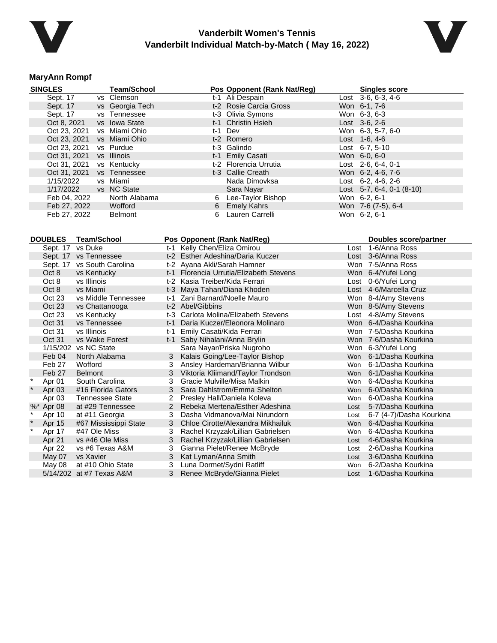



### **MaryAnn Rompf**

| <b>SINGLES</b>   | <b>Team/School</b>         |                                  | Pos Opponent (Rank Nat/Reg)             |               | <b>Singles score</b>      |
|------------------|----------------------------|----------------------------------|-----------------------------------------|---------------|---------------------------|
| Sept. 17         | vs Clemson                 |                                  | t-1 Ali Despain                         |               | Lost 3-6, 6-3, 4-6        |
| Sept. 17         | vs Georgia Tech            |                                  | t-2 Rosie Carcia Gross                  | Won 6-1, 7-6  |                           |
| Sept. 17         | vs Tennessee               |                                  | t-3 Olivia Symons                       | Won 6-3, 6-3  |                           |
| Oct 8, 2021      | vs Iowa State              |                                  | t-1 Christin Hsieh                      | Lost 3-6, 2-6 |                           |
| Oct 23, 2021     | vs Miami Ohio              | $t-1$                            | Dev                                     |               | Won 6-3, 5-7, 6-0         |
| Oct 23, 2021     | vs Miami Ohio              |                                  | t-2 Romero                              | Lost 1-6, 4-6 |                           |
| Oct 23, 2021     | vs Purdue                  |                                  | t-3 Galindo                             |               | Lost 6-7, 5-10            |
| Oct 31, 2021     | vs Illinois                |                                  | t-1 Emily Casati                        | Won 6-0, 6-0  |                           |
| Oct 31, 2021     | vs Kentucky                |                                  | t-2 Florencia Urrutia                   |               | Lost 2-6, 6-4, 0-1        |
| Oct 31, 2021     | vs Tennessee               |                                  | t-3 Callie Creath                       |               | Won 6-2, 4-6, 7-6         |
| 1/15/2022        | vs Miami                   |                                  | Nada Dimovksa                           |               | Lost 6-2, 4-6, 2-6        |
| 1/17/2022        | vs NC State                |                                  | Sara Nayar                              |               | Lost 5-7, 6-4, 0-1 (8-10) |
| Feb 04, 2022     | North Alabama              | 6                                | Lee-Taylor Bishop                       | Won 6-2, 6-1  |                           |
| Feb 27, 2022     | Wofford                    | 6                                | <b>Emely Kahrs</b>                      |               | Won 7-6 (7-5), 6-4        |
| Feb 27, 2022     | <b>Belmont</b>             | 6                                | Lauren Carrelli                         | Won 6-2, 6-1  |                           |
|                  |                            |                                  |                                         |               |                           |
|                  |                            |                                  |                                         |               |                           |
| <b>DOUBLES</b>   | <b>Team/School</b>         | Pos Opponent (Rank Nat/Reg)      |                                         |               | Doubles score/partner     |
|                  | Sept. 17 vs Duke           | t-1 Kelly Chen/Eliza Omirou      |                                         |               | Lost 1-6/Anna Ross        |
|                  | Sept. 17 vs Tennessee      | t-2 Esther Adeshina/Daria Kuczer |                                         |               | Lost 3-6/Anna Ross        |
|                  | Sept. 17 vs South Carolina | t-2 Ayana Akli/Sarah Hamner      |                                         |               | Won 7-5/Anna Ross         |
| Oct 8            | vs Kentucky                |                                  | t-1 Florencia Urrutia/Elizabeth Stevens |               | Won 6-4/Yufei Long        |
| Oct 8            | vs Illinois                | t-2 Kasia Treiber/Kida Ferrari   |                                         |               | Lost 0-6/Yufei Long       |
| Oct 8            | vs Miami                   | t-3 Maya Tahan/Diana Khoden      |                                         |               | Lost 4-6/Marcella Cruz    |
| Oct 23           | vs Middle Tennessee        | t-1 Zani Barnard/Noelle Mauro    |                                         |               | Won 8-4/Amy Stevens       |
| Oct 23           | vs Chattanooga             | t-2 Abel/Gibbins                 |                                         |               | Won 8-5/Amy Stevens       |
| Oct 23           | vs Kentucky                |                                  | t-3 Carlota Molina/Elizabeth Stevens    |               | Lost 4-8/Amy Stevens      |
| Oct 31           | vs Tennessee               |                                  | t-1 Daria Kuczer/Eleonora Molinaro      |               | Won 6-4/Dasha Kourkina    |
| Oct 31           | vs Illinois                | t-1 Emily Casati/Kida Ferrari    |                                         |               | Won 7-5/Dasha Kourkina    |
| Oct 31           | vs Wake Forest             | t-1 Saby Nihalani/Anna Brylin    |                                         |               | Won 7-6/Dasha Kourkina    |
|                  | 1/15/202 vs NC State       |                                  | Sara Nayar/Priska Nugroho               |               | Won 6-3/Yufei Long        |
| Feb 04           | North Alabama              | 3 <sup>1</sup>                   | Kalais Going/Lee-Taylor Bishop          |               | Won 6-1/Dasha Kourkina    |
| Feb 27           | Wofford                    | 3                                | Ansley Hardeman/Brianna Wilbur          |               | Won 6-1/Dasha Kourkina    |
| Feb 27           | <b>Belmont</b>             | 3                                | Viktoria Kliimand/Taylor Trondson       |               | Won 6-1/Dasha Kourkina    |
| $\ast$<br>Apr 01 | South Carolina             | Gracie Mulville/Misa Malkin<br>3 |                                         |               | Won 6-4/Dasha Kourkina    |
| Apr 03           | #16 Florida Gators         | 3                                | Sara Dahlstrom/Emma Shelton             |               | Won 6-0/Dasha Kourkina    |
| Apr 03           | <b>Tennessee State</b>     | $\overline{2}$                   | Presley Hall/Daniela Koleva             |               | Won 6-0/Dasha Kourkina    |
| %* Apr 08        | at #29 Tennessee           | $\overline{2}$                   | Rebeka Mertena/Esther Adeshina          | Lost          | 5-7/Dasha Kourkina        |
| Apr 10           | at #11 Georgia             | 3                                | Dasha Vidmanova/Mai Nirundorn           | Lost          | 6-7 (4-7)/Dasha Kourkina  |
| Apr 15           | #67 Mississippi State      | 3                                | Chloe Cirotte/Alexandra Mikhailuk       | Won           | 6-4/Dasha Kourkina        |
| Apr 17           | #47 Ole Miss               | 3                                | Rachel Krzyzak/Lillian Gabrielsen       | Won           | 6-4/Dasha Kourkina        |
| Apr 21           | vs #46 Ole Miss            | 3                                | Rachel Krzyzak/Lillian Gabrielsen       | Lost          | 4-6/Dasha Kourkina        |
| Apr 22           | vs #6 Texas A&M            | 3                                | Gianna Pielet/Renee McBryde             | Lost          | 2-6/Dasha Kourkina        |
| May 07           | vs Xavier                  | 3<br>Kat Lyman/Anna Smith        |                                         | Lost          | 3-6/Dasha Kourkina        |
| May 08           | at #10 Ohio State          | 3<br>Luna Dormet/Sydni Ratliff   |                                         | Won           | 6-2/Dasha Kourkina        |
|                  | 5/14/202 at #7 Texas A&M   | 3                                | Renee McBryde/Gianna Pielet             | Lost          | 1-6/Dasha Kourkina        |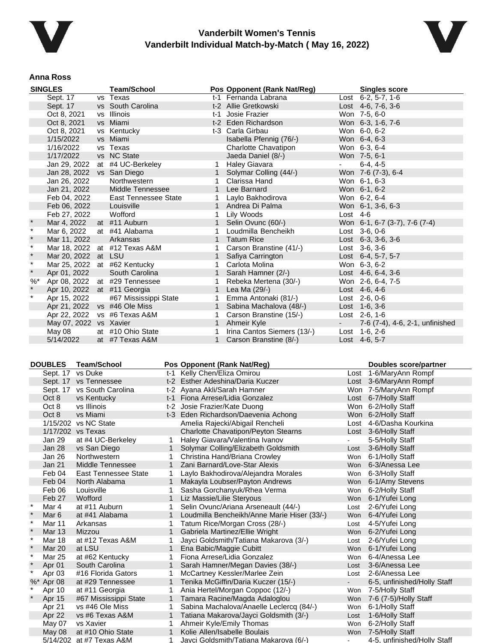



#### **Anna Ross**

|          | <b>SINGLES</b>              | <b>Team/School</b>            |             | Pos Opponent (Rank Nat/Reg) |            | <b>Singles score</b>            |
|----------|-----------------------------|-------------------------------|-------------|-----------------------------|------------|---------------------------------|
|          | Sept. 17                    | vs Texas                      |             | t-1 Fernanda Labrana        |            | Lost 6-2, 5-7, 1-6              |
|          | Sept. 17                    | vs South Carolina             |             | t-2 Allie Gretkowski        |            | Lost $4-6$ , $7-6$ , $3-6$      |
|          | Oct 8, 2021                 | vs Illinois                   | $t-1$       | Josie Frazier               |            | Won 7-5, 6-0                    |
|          | Oct 8, 2021                 | vs Miami                      |             | t-2 Eden Richardson         |            | Won 6-3, 1-6, 7-6               |
|          | Oct 8, 2021                 | vs Kentucky                   |             | t-3 Carla Girbau            |            | Won 6-0, 6-2                    |
|          | 1/15/2022                   | vs Miami                      |             | Isabella Pfennig (76/-)     |            | Won 6-4, 6-3                    |
|          | 1/16/2022                   | vs Texas                      |             | Charlotte Chavatipon        |            | Won 6-3, 6-4                    |
|          | 1/17/2022                   | vs NC State                   |             | Jaeda Daniel (8/-)          |            | Won 7-5, 6-1                    |
|          | Jan 29, 2022                | at #4 UC-Berkeley             |             | <b>Haley Giavara</b>        |            | $6-4.4-5$                       |
|          | Jan 28, 2022 vs San Diego   |                               |             | Solymar Colling (44/-)      |            | Won 7-6 (7-3), 6-4              |
|          | Jan 26, 2022                | Northwestern                  |             | Clarissa Hand               |            | Won 6-1, 6-3                    |
|          | Jan 21, 2022                | Middle Tennessee              | 1           | Lee Barnard                 |            | Won 6-1, 6-2                    |
|          | Feb 04, 2022                | <b>East Tennessee State</b>   | 1           | Laylo Bakhodirova           |            | Won 6-2, 6-4                    |
|          | Feb 06, 2022                | Louisville                    |             | 1 Andrea Di Palma           |            | Won 6-1, 3-6, 6-3               |
|          | Feb 27, 2022                | Wofford                       | 1           | Lily Woods                  | Lost $4-6$ |                                 |
| $\star$  | Mar 4, 2022                 | at #11 Auburn                 |             | Selin Ovunc (60/-)          |            | Won 6-1, 6-7 (3-7), 7-6 (7-4)   |
| $\star$  | Mar 6, 2022                 | at #41 Alabama                |             | Loudmilla Bencheikh         |            | Lost 3-6, 0-6                   |
| $\star$  | Mar 11, 2022                | Arkansas                      |             | Tatum Rice                  |            | Lost $6-3$ , $3-6$ , $3-6$      |
| $\star$  |                             | Mar 18, 2022 at #12 Texas A&M |             | Carson Branstine (41/-)     |            | Lost 3-6, 3-6                   |
| $\star$  | Mar 20, 2022 at LSU         |                               | 1           | Safiya Carrington           |            | Lost 6-4, 5-7, 5-7              |
| $\star$  |                             | Mar 25, 2022 at #62 Kentucky  |             | Carlota Molina              |            | Won 6-3, 6-2                    |
| $\star$  | Apr 01, 2022                | South Carolina                |             | Sarah Hamner (2/-)          |            | Lost $4-6, 6-4, 3-6$            |
| $\%$ $*$ |                             | Apr 08, 2022 at #29 Tennessee |             | Rebeka Mertena (30/-)       |            | Won 2-6, 6-4, 7-5               |
| $\star$  | Apr 10, 2022 at #11 Georgia |                               |             | Lea Ma (29/-)               |            | Lost $4-6, 4-6$                 |
| $\star$  | Apr 15, 2022                | #67 Mississippi State         | 1           | Emma Antonaki (81/-)        |            | Lost 2-6, 0-6                   |
|          | Apr 21, 2022                | vs #46 Ole Miss               | 1           | Sabina Machalova (48/-)     |            | Lost 1-6, 3-6                   |
|          |                             | Apr 22, 2022 vs #6 Texas A&M  | 1           | Carson Branstine (15/-)     |            | Lost $2-6, 1-6$                 |
|          | May 07, 2022 vs Xavier      |                               | $\mathbf 1$ | Ahmeir Kyle                 | $\sim 100$ | 7-6 (7-4), 4-6, 2-1, unfinished |
|          | May 08                      | at #10 Ohio State             |             | Irina Cantos Siemers (13/-) |            | Lost 1-6, 2-6                   |
|          | 5/14/2022                   | at #7 Texas A&M               | 1           | Carson Branstine (8/-)      |            | Lost 4-6, 5-7                   |

| <b>DOUBLES</b><br><b>Team/School</b> |                         |                             |   | Pos Opponent (Rank Nat/Reg)                 |            | Doubles score/partner       |
|--------------------------------------|-------------------------|-----------------------------|---|---------------------------------------------|------------|-----------------------------|
|                                      | vs Duke<br>Sept. 17     |                             |   | t-1 Kelly Chen/Eliza Omirou                 | Lost       | 1-6/MaryAnn Rompf           |
|                                      | Sept. 17 vs Tennessee   |                             |   | t-2 Esther Adeshina/Daria Kuczer            |            | Lost 3-6/MaryAnn Rompf      |
|                                      |                         | Sept. 17 vs South Carolina  |   | t-2 Ayana Akli/Sarah Hamner                 |            | Won 7-5/MaryAnn Rompf       |
|                                      | Oct 8                   | vs Kentucky                 |   | t-1 Fiona Arrese/Lidia Gonzalez             |            | Lost 6-7/Holly Staff        |
|                                      | Oct 8                   | vs Illinois                 |   | t-2 Josie Frazier/Kate Duong                |            | Won 6-2/Holly Staff         |
|                                      | Oct 8                   | vs Miami                    |   | t-3 Eden Richardson/Daevenia Achong         |            | Won 6-2/Holly Staff         |
|                                      |                         | 1/15/202 vs NC State        |   | Amelia Rajecki/Abigail Rencheli             | Lost       | 4-6/Dasha Kourkina          |
|                                      |                         | 1/17/202 vs Texas           |   | <b>Charlotte Chavatipon/Peyton Stearns</b>  |            | Lost 3-6/Holly Staff        |
|                                      | Jan 29                  | at #4 UC-Berkeley           | 1 | Haley Giavara/Valentina Ivanov              |            | 5-5/Holly Staff             |
|                                      | Jan 28                  | vs San Diego                |   | Solymar Colling/Elizabeth Goldsmith         | Lost       | 3-6/Holly Staff             |
|                                      | Jan 26                  | Northwestern                |   | Christina Hand/Briana Crowley               | Won        | 6-1/Holly Staff             |
|                                      | <b>Jan 21</b>           | Middle Tennessee            | 1 | Zani Barnard/Love-Star Alexis               | <b>Won</b> | 6-3/Anessa Lee              |
|                                      | Feb 04                  | <b>East Tennessee State</b> |   | Laylo Bakhodirova/Alejandra Morales         | Won        | 6-3/Holly Staff             |
|                                      | Feb 04                  | North Alabama               | 1 | Makayla Loubser/Payton Andrews              | Won        | 6-1/Amy Stevens             |
|                                      | Feb 06                  | Louisville                  |   | Sasha Gorchanyuk/Rhea Verma                 | Won        | 6-2/Holly Staff             |
|                                      | Feb 27                  | Wofford                     | 1 | Liz Massie/Lilie Steryous                   | Won        | 6-1/Yufei Long              |
|                                      | Mar 4                   | at #11 Auburn               | 1 | Selin Ovunc/Ariana Arseneault (44/-)        | Lost       | 2-6/Yufei Long              |
|                                      | Mar 6                   | at #41 Alabama              |   | Loudmilla Bencheikh/Anne Marie Hiser (33/-) | Won        | 6-4/Yufei Long              |
|                                      | $\ast$<br><b>Mar 11</b> | Arkansas                    | 1 | Tatum Rice/Morgan Cross (28/-)              | Lost       | 4-5/Yufei Long              |
|                                      | Mar 13                  | Mizzou                      |   | Gabriela Martinez/Ellie Wright              | Won        | 6-2/Yufei Long              |
|                                      | $\ast$<br>Mar 18        | at #12 Texas A&M            | 1 | Jayci Goldsmith/Tatiana Makarova (3/-)      | Lost       | 2-6/Yufei Long              |
|                                      | <b>Mar 20</b>           | at LSU                      | 1 | Ena Babic/Maggie Cubitt                     | Won        | 6-1/Yufei Long              |
|                                      | <b>Mar 25</b>           | at #62 Kentucky             | 1 | Fiona Arrese/Lidia Gonzalez                 | Won        | 6-4/Anessa Lee              |
|                                      | Apr 01                  | South Carolina              |   | Sarah Hamner/Megan Davies (38/-)            | Lost       | 3-6/Anessa Lee              |
|                                      | Apr 03                  | #16 Florida Gators          | 1 | McCartney Kessler/Marlee Zein               | Lost       | 2-6/Anessa Lee              |
|                                      | %* Apr 08               | at #29 Tennessee            |   | Tenika McGiffin/Daria Kuczer (15/-)         | $\sim$     | 6-5, unfinished/Holly Staff |
|                                      | Apr 10                  | at #11 Georgia              | 1 | Ania Hertel/Morgan Coppoc (12/-)            | Won        | 7-5/Holly Staff             |
|                                      | Apr 15                  | #67 Mississippi State       |   | Tamara Racine/Magda Adaloglou               | Won        | 7-6 (7-5)/Holly Staff       |
|                                      | Apr 21                  | vs #46 Ole Miss             | 1 | Sabina Machalova/Anaelle Leclercq (84/-)    | Won        | 6-1/Holly Staff             |
|                                      | Apr 22                  | vs #6 Texas A&M             | 1 | Tatiana Makarova/Jayci Goldsmith (3/-)      | Lost       | 1-6/Holly Staff             |
|                                      | May 07                  | vs Xavier                   | 1 | Ahmeir Kyle/Emily Thomas                    | Won        | 6-2/Holly Staff             |
|                                      | May 08                  | at #10 Ohio State           |   | Kolie Allen/Isabelle Boulais                | Won        | 7-5/Holly Staff             |
|                                      |                         | $5/14/202$ at #7 Texas A&M  |   | Javci Goldsmith/Tatiana Makarova (6/-)      |            | 4-5 unfinished/Holly Staff  |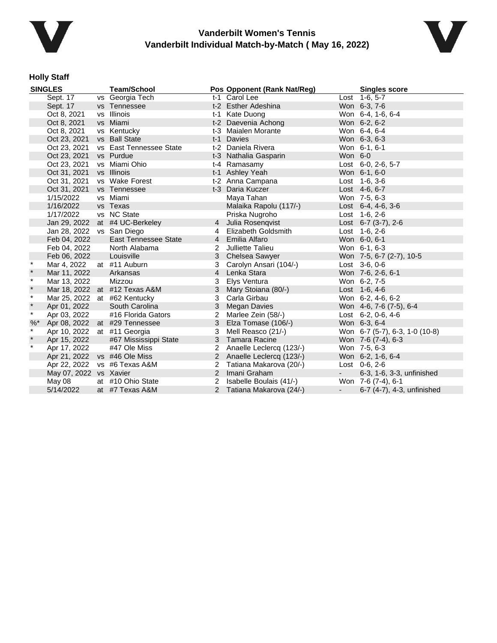



# **Holly Staff**

| <b>SINGLES</b> |                              | <b>Team/School</b>            |                | Pos Opponent (Rank Nat/Reg) |            | <b>Singles score</b>           |  |
|----------------|------------------------------|-------------------------------|----------------|-----------------------------|------------|--------------------------------|--|
|                | Sept. 17                     | vs Georgia Tech               |                | t-1 Carol Lee               |            | Lost 1-6, 5-7                  |  |
|                | Sept. 17                     | vs Tennessee                  |                | t-2 Esther Adeshina         |            | Won 6-3, 7-6                   |  |
|                | Oct 8, 2021                  | vs Illinois                   |                | t-1 Kate Duong              |            | Won 6-4, 1-6, 6-4              |  |
|                | Oct 8, 2021                  | vs Miami                      |                | t-2 Daevenia Achong         |            | Won 6-2, 6-2                   |  |
|                | Oct 8, 2021                  | vs Kentucky                   |                | t-3 Maialen Morante         |            | Won 6-4, 6-4                   |  |
|                | Oct 23, 2021                 | vs Ball State                 | $t-1$          | Davies                      |            | Won 6-3, 6-3                   |  |
|                | Oct 23, 2021                 | vs East Tennessee State       |                | t-2 Daniela Rivera          |            | Won 6-1, 6-1                   |  |
|                | Oct 23, 2021                 | vs Purdue                     |                | t-3 Nathalia Gasparin       | Won 6-0    |                                |  |
|                | Oct 23, 2021                 | vs Miami Ohio                 |                | t-4 Ramasamy                |            | Lost 6-0, 2-6, 5-7             |  |
|                | Oct 31, 2021                 | vs Illinois                   |                | t-1 Ashley Yeah             |            | Won 6-1, 6-0                   |  |
|                | Oct 31, 2021                 | vs Wake Forest                |                | t-2 Anna Campana            |            | Lost 1-6, 3-6                  |  |
|                | Oct 31, 2021                 | vs Tennessee                  |                | t-3 Daria Kuczer            |            | Lost 4-6, 6-7                  |  |
|                | 1/15/2022                    | vs Miami                      |                | Maya Tahan                  |            | Won 7-5, 6-3                   |  |
|                | 1/16/2022                    | vs Texas                      |                | Malaika Rapolu (117/-)      |            | Lost $6-4, 4-6, 3-6$           |  |
|                | 1/17/2022                    | vs NC State                   |                | Priska Nugroho              |            | Lost 1-6, 2-6                  |  |
|                | Jan 29, 2022                 | at #4 UC-Berkeley             | 4              | Julia Rosenqvist            |            | Lost $6-7$ (3-7), 2-6          |  |
|                | Jan 28, 2022                 | vs San Diego                  | 4              | Elizabeth Goldsmith         |            | Lost 1-6, 2-6                  |  |
|                | Feb 04, 2022                 | <b>East Tennessee State</b>   |                | 4 Emilia Alfaro             |            | Won 6-0, 6-1                   |  |
|                | Feb 04, 2022                 | North Alabama                 | $2^{\circ}$    | Julliette Talieu            |            | Won 6-1, 6-3                   |  |
|                | Feb 06, 2022                 | Louisville                    | 3              | Chelsea Sawyer              |            | Won 7-5, 6-7 (2-7), 10-5       |  |
| $\star$        | Mar 4, 2022                  | at #11 Auburn                 | 3              | Carolyn Ansari (104/-)      |            | Lost 3-6, 0-6                  |  |
| $\star$        | Mar 11, 2022                 | Arkansas                      | $\overline{4}$ | Lenka Stara                 |            | Won 7-6, 2-6, 6-1              |  |
| $\star$        | Mar 13, 2022                 | Mizzou                        | 3              | Elys Ventura                |            | Won 6-2, 7-5                   |  |
| $\star$        |                              | Mar 18, 2022 at #12 Texas A&M | 3              | Mary Stoiana (80/-)         |            | Lost 1-6, 4-6                  |  |
| $\star$        |                              | Mar 25, 2022 at #62 Kentucky  | 3              | Carla Girbau                |            | Won 6-2, 4-6, 6-2              |  |
| $\pmb{\ast}$   | Apr 01, 2022                 | South Carolina                | 3              | Megan Davies                |            | Won 4-6, 7-6 (7-5), 6-4        |  |
| $\star$        | Apr 03, 2022                 | #16 Florida Gators            | 2              | Marlee Zein (58/-)          |            | Lost 6-2, 0-6, 4-6             |  |
| $%$ *          |                              | Apr 08, 2022 at #29 Tennessee | 3              | Elza Tomase (106/-)         |            | Won 6-3, 6-4                   |  |
| $\star$        | Apr 10, 2022 at #11 Georgia  |                               | 3              | Mell Reasco (21/-)          |            | Won 6-7 (5-7), 6-3, 1-0 (10-8) |  |
| $\star$        | Apr 15, 2022                 | #67 Mississippi State         |                | 3 Tamara Racine             |            | Won 7-6 (7-4), 6-3             |  |
| $\star$        | Apr 17, 2022                 | #47 Ole Miss                  | 2              | Anaelle Leclercq (123/-)    |            | Won 7-5, 6-3                   |  |
|                | Apr 21, 2022 vs #46 Ole Miss |                               |                | 2 Anaelle Leclercq (123/-)  |            | Won 6-2, 1-6, 6-4              |  |
|                |                              | Apr 22, 2022 vs #6 Texas A&M  | 2              | Tatiana Makarova (20/-)     |            | Lost $0-6$ , $2-6$             |  |
|                | May 07, 2022 vs Xavier       |                               |                | 2 Imani Graham              | $\sim 100$ | 6-3, 1-6, 3-3, unfinished      |  |
|                | May 08                       | at #10 Ohio State             | 2              | Isabelle Boulais (41/-)     |            | Won 7-6 (7-4), 6-1             |  |
|                | 5/14/2022                    | at #7 Texas A&M               | $\mathcal{P}$  | Tatiana Makarova (24/-)     |            | 6-7 (4-7), 4-3, unfinished     |  |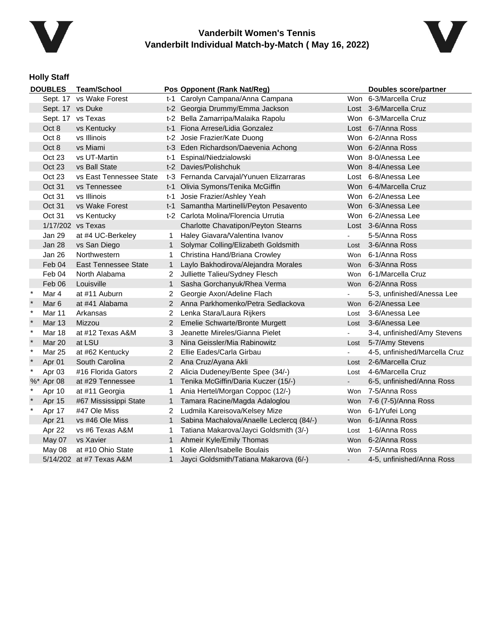



## **Holly Staff**

|         | <b>DOUBLES</b>   | <b>Team/School</b>          |                      | Pos Opponent (Rank Nat/Reg)              |            | Doubles score/partner         |
|---------|------------------|-----------------------------|----------------------|------------------------------------------|------------|-------------------------------|
|         |                  | Sept. 17 vs Wake Forest     |                      | t-1 Carolyn Campana/Anna Campana         |            | Won 6-3/Marcella Cruz         |
|         | Sept. 17 vs Duke |                             |                      | t-2 Georgia Drummy/Emma Jackson          |            | Lost 3-6/Marcella Cruz        |
|         |                  | Sept. 17 vs Texas           |                      | t-2 Bella Zamarripa/Malaika Rapolu       |            | Won 6-3/Marcella Cruz         |
|         | Oct 8            | vs Kentucky                 |                      | t-1 Fiona Arrese/Lidia Gonzalez          |            | Lost 6-7/Anna Ross            |
|         | Oct 8            | vs Illinois                 |                      | t-2 Josie Frazier/Kate Duong             |            | Won 6-2/Anna Ross             |
|         | Oct 8            | vs Miami                    |                      | t-3 Eden Richardson/Daevenia Achong      |            | Won 6-2/Anna Ross             |
|         | Oct 23           | vs UT-Martin                |                      | t-1 Espinal/Niedzialowski                |            | Won 8-0/Anessa Lee            |
|         | Oct 23           | vs Ball State               |                      | t-2 Davies/Polishchuk                    |            | Won 8-4/Anessa Lee            |
|         | Oct 23           | vs East Tennessee State     |                      | t-3 Fernanda Carvajal/Yunuen Elizarraras |            | Lost 6-8/Anessa Lee           |
|         | Oct 31           | vs Tennessee                |                      | t-1 Olivia Symons/Tenika McGiffin        |            | Won 6-4/Marcella Cruz         |
|         | Oct 31           | vs Illinois                 | t-1                  | Josie Frazier/Ashley Yeah                |            | Won 6-2/Anessa Lee            |
|         | Oct 31           | vs Wake Forest              |                      | t-1 Samantha Martinelli/Peyton Pesavento |            | Won 6-3/Anessa Lee            |
|         | Oct 31           | vs Kentucky                 |                      | t-2 Carlota Molina/Florencia Urrutia     |            | Won 6-2/Anessa Lee            |
|         |                  | 1/17/202 vs Texas           |                      | Charlotte Chavatipon/Peyton Stearns      |            | Lost 3-6/Anna Ross            |
|         | Jan 29           | at #4 UC-Berkeley           | $\mathbf{1}$         | Haley Giavara/Valentina Ivanov           | ä.         | 5-5/Anna Ross                 |
|         | Jan 28           | vs San Diego                | $\mathbf 1$          | Solymar Colling/Elizabeth Goldsmith      | Lost       | 3-6/Anna Ross                 |
|         | Jan 26           | Northwestern                | 1.                   | Christina Hand/Briana Crowley            | Won        | 6-1/Anna Ross                 |
|         | Feb 04           | <b>East Tennessee State</b> | 1                    | Laylo Bakhodirova/Alejandra Morales      |            | Won 6-3/Anna Ross             |
|         | Feb 04           | North Alabama               | 2                    | Julliette Talieu/Sydney Flesch           | Won        | 6-1/Marcella Cruz             |
|         | Feb 06           | Louisville                  | $\mathbf{1}$         | Sasha Gorchanyuk/Rhea Verma              |            | Won 6-2/Anna Ross             |
| $\ast$  | Mar 4            | at #11 Auburn               | $\overline{2}$       | Georgie Axon/Adeline Flach               |            | 5-3, unfinished/Anessa Lee    |
| $\star$ | Mar <sub>6</sub> | at #41 Alabama              |                      | 2 Anna Parkhomenko/Petra Sedlackova      | Won        | 6-2/Anessa Lee                |
| $\star$ | Mar 11           | Arkansas                    | 2                    | Lenka Stara/Laura Rijkers                | Lost       | 3-6/Anessa Lee                |
|         | <b>Mar 13</b>    | Mizzou                      | $\mathbf{2}^{\circ}$ | Emelie Schwarte/Bronte Murgett           |            | Lost 3-6/Anessa Lee           |
| $\star$ | Mar 18           | at #12 Texas A&M            | 3                    | Jeanette Mireles/Gianna Pielet           |            | 3-4, unfinished/Amy Stevens   |
| $\ast$  | Mar 20           | at LSU                      | 3                    | Nina Geissler/Mia Rabinowitz             | Lost       | 5-7/Amy Stevens               |
| $\ast$  | <b>Mar 25</b>    | at #62 Kentucky             | $\overline{2}$       | Ellie Eades/Carla Girbau                 |            | 4-5, unfinished/Marcella Cruz |
| $\ast$  | Apr 01           | South Carolina              | $\overline{2}$       | Ana Cruz/Ayana Akli                      | Lost       | 2-6/Marcella Cruz             |
| $\ast$  | Apr 03           | #16 Florida Gators          | $\overline{2}$       | Alicia Dudeney/Bente Spee (34/-)         | Lost       | 4-6/Marcella Cruz             |
|         | %* Apr 08        | at #29 Tennessee            | 1                    | Tenika McGiffin/Daria Kuczer (15/-)      | $\sim$     | 6-5, unfinished/Anna Ross     |
| $\ast$  | Apr 10           | at #11 Georgia              | 1                    | Ania Hertel/Morgan Coppoc (12/-)         |            | Won 7-5/Anna Ross             |
|         | Apr 15           | #67 Mississippi State       | $\mathbf{1}$         | Tamara Racine/Magda Adaloglou            |            | Won 7-6 (7-5)/Anna Ross       |
| $\ast$  | Apr 17           | #47 Ole Miss                | 2                    | Ludmila Kareisova/Kelsey Mize            | Won        | 6-1/Yufei Long                |
|         | Apr 21           | vs #46 Ole Miss             | 1                    | Sabina Machalova/Anaelle Leclercq (84/-) |            | Won 6-1/Anna Ross             |
|         | Apr 22           | vs #6 Texas A&M             | 1                    | Tatiana Makarova/Jayci Goldsmith (3/-)   | Lost       | 1-6/Anna Ross                 |
|         | May 07           | vs Xavier                   | $\mathbf{1}$         | Ahmeir Kyle/Emily Thomas                 | <b>Won</b> | 6-2/Anna Ross                 |
|         | May 08           | at #10 Ohio State           | 1                    | Kolie Allen/Isabelle Boulais             | Won        | 7-5/Anna Ross                 |
|         |                  | 5/14/202 at #7 Texas A&M    | $\mathbf 1$          | Jayci Goldsmith/Tatiana Makarova (6/-)   |            | 4-5, unfinished/Anna Ross     |